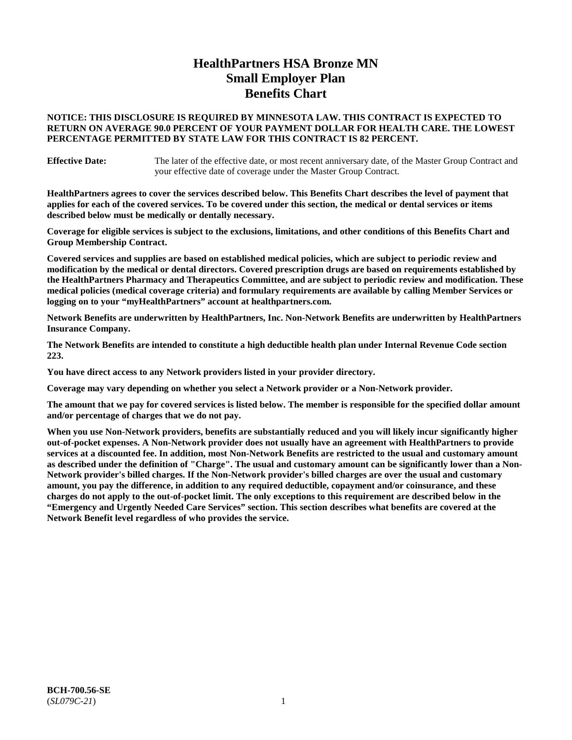# **HealthPartners HSA Bronze MN Small Employer Plan Benefits Chart**

#### **NOTICE: THIS DISCLOSURE IS REQUIRED BY MINNESOTA LAW. THIS CONTRACT IS EXPECTED TO RETURN ON AVERAGE 90.0 PERCENT OF YOUR PAYMENT DOLLAR FOR HEALTH CARE. THE LOWEST PERCENTAGE PERMITTED BY STATE LAW FOR THIS CONTRACT IS 82 PERCENT.**

**Effective Date:** The later of the effective date, or most recent anniversary date, of the Master Group Contract and your effective date of coverage under the Master Group Contract.

**HealthPartners agrees to cover the services described below. This Benefits Chart describes the level of payment that applies for each of the covered services. To be covered under this section, the medical or dental services or items described below must be medically or dentally necessary.**

**Coverage for eligible services is subject to the exclusions, limitations, and other conditions of this Benefits Chart and Group Membership Contract.**

**Covered services and supplies are based on established medical policies, which are subject to periodic review and modification by the medical or dental directors. Covered prescription drugs are based on requirements established by the HealthPartners Pharmacy and Therapeutics Committee, and are subject to periodic review and modification. These medical policies (medical coverage criteria) and formulary requirements are available by calling Member Services or logging on to your "myHealthPartners" account at [healthpartners.com.](https://www.healthpartners.com/hp/index.html)**

**Network Benefits are underwritten by HealthPartners, Inc. Non-Network Benefits are underwritten by HealthPartners Insurance Company.** 

**The Network Benefits are intended to constitute a high deductible health plan under Internal Revenue Code section 223.** 

**You have direct access to any Network providers listed in your provider directory.**

**Coverage may vary depending on whether you select a Network provider or a Non-Network provider.**

**The amount that we pay for covered services is listed below. The member is responsible for the specified dollar amount and/or percentage of charges that we do not pay.**

**When you use Non-Network providers, benefits are substantially reduced and you will likely incur significantly higher out-of-pocket expenses. A Non-Network provider does not usually have an agreement with HealthPartners to provide services at a discounted fee. In addition, most Non-Network Benefits are restricted to the usual and customary amount as described under the definition of "Charge". The usual and customary amount can be significantly lower than a Non-Network provider's billed charges. If the Non-Network provider's billed charges are over the usual and customary amount, you pay the difference, in addition to any required deductible, copayment and/or coinsurance, and these charges do not apply to the out-of-pocket limit. The only exceptions to this requirement are described below in the "Emergency and Urgently Needed Care Services" section. This section describes what benefits are covered at the Network Benefit level regardless of who provides the service.**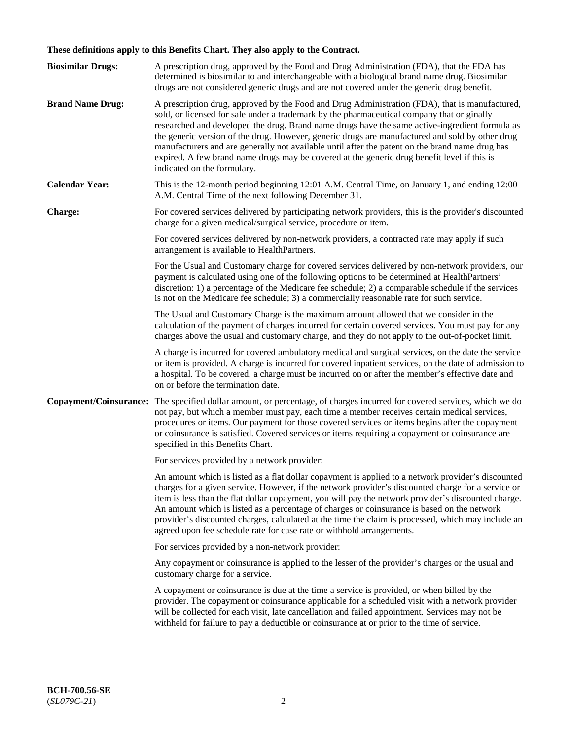# **These definitions apply to this Benefits Chart. They also apply to the Contract.**

| <b>Biosimilar Drugs:</b> | A prescription drug, approved by the Food and Drug Administration (FDA), that the FDA has<br>determined is biosimilar to and interchangeable with a biological brand name drug. Biosimilar<br>drugs are not considered generic drugs and are not covered under the generic drug benefit.                                                                                                                                                                                                                                                                                                                                           |
|--------------------------|------------------------------------------------------------------------------------------------------------------------------------------------------------------------------------------------------------------------------------------------------------------------------------------------------------------------------------------------------------------------------------------------------------------------------------------------------------------------------------------------------------------------------------------------------------------------------------------------------------------------------------|
| <b>Brand Name Drug:</b>  | A prescription drug, approved by the Food and Drug Administration (FDA), that is manufactured,<br>sold, or licensed for sale under a trademark by the pharmaceutical company that originally<br>researched and developed the drug. Brand name drugs have the same active-ingredient formula as<br>the generic version of the drug. However, generic drugs are manufactured and sold by other drug<br>manufacturers and are generally not available until after the patent on the brand name drug has<br>expired. A few brand name drugs may be covered at the generic drug benefit level if this is<br>indicated on the formulary. |
| <b>Calendar Year:</b>    | This is the 12-month period beginning 12:01 A.M. Central Time, on January 1, and ending 12:00<br>A.M. Central Time of the next following December 31.                                                                                                                                                                                                                                                                                                                                                                                                                                                                              |
| <b>Charge:</b>           | For covered services delivered by participating network providers, this is the provider's discounted<br>charge for a given medical/surgical service, procedure or item.                                                                                                                                                                                                                                                                                                                                                                                                                                                            |
|                          | For covered services delivered by non-network providers, a contracted rate may apply if such<br>arrangement is available to HealthPartners.                                                                                                                                                                                                                                                                                                                                                                                                                                                                                        |
|                          | For the Usual and Customary charge for covered services delivered by non-network providers, our<br>payment is calculated using one of the following options to be determined at HealthPartners'<br>discretion: 1) a percentage of the Medicare fee schedule; 2) a comparable schedule if the services<br>is not on the Medicare fee schedule; 3) a commercially reasonable rate for such service.                                                                                                                                                                                                                                  |
|                          | The Usual and Customary Charge is the maximum amount allowed that we consider in the<br>calculation of the payment of charges incurred for certain covered services. You must pay for any<br>charges above the usual and customary charge, and they do not apply to the out-of-pocket limit.                                                                                                                                                                                                                                                                                                                                       |
|                          | A charge is incurred for covered ambulatory medical and surgical services, on the date the service<br>or item is provided. A charge is incurred for covered inpatient services, on the date of admission to<br>a hospital. To be covered, a charge must be incurred on or after the member's effective date and<br>on or before the termination date.                                                                                                                                                                                                                                                                              |
| Copayment/Coinsurance:   | The specified dollar amount, or percentage, of charges incurred for covered services, which we do<br>not pay, but which a member must pay, each time a member receives certain medical services,<br>procedures or items. Our payment for those covered services or items begins after the copayment<br>or coinsurance is satisfied. Covered services or items requiring a copayment or coinsurance are<br>specified in this Benefits Chart.                                                                                                                                                                                        |
|                          | For services provided by a network provider:                                                                                                                                                                                                                                                                                                                                                                                                                                                                                                                                                                                       |
|                          | An amount which is listed as a flat dollar copayment is applied to a network provider's discounted<br>charges for a given service. However, if the network provider's discounted charge for a service or<br>item is less than the flat dollar copayment, you will pay the network provider's discounted charge.<br>An amount which is listed as a percentage of charges or coinsurance is based on the network<br>provider's discounted charges, calculated at the time the claim is processed, which may include an<br>agreed upon fee schedule rate for case rate or withhold arrangements.                                      |
|                          | For services provided by a non-network provider:                                                                                                                                                                                                                                                                                                                                                                                                                                                                                                                                                                                   |
|                          | Any copayment or coinsurance is applied to the lesser of the provider's charges or the usual and<br>customary charge for a service.                                                                                                                                                                                                                                                                                                                                                                                                                                                                                                |
|                          | A copayment or coinsurance is due at the time a service is provided, or when billed by the<br>provider. The copayment or coinsurance applicable for a scheduled visit with a network provider<br>will be collected for each visit, late cancellation and failed appointment. Services may not be<br>withheld for failure to pay a deductible or coinsurance at or prior to the time of service.                                                                                                                                                                                                                                    |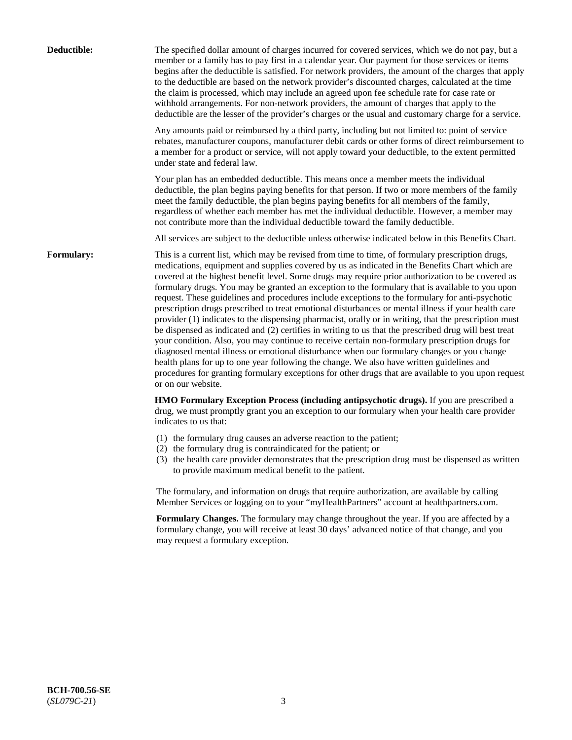| Deductible:       | The specified dollar amount of charges incurred for covered services, which we do not pay, but a<br>member or a family has to pay first in a calendar year. Our payment for those services or items<br>begins after the deductible is satisfied. For network providers, the amount of the charges that apply<br>to the deductible are based on the network provider's discounted charges, calculated at the time<br>the claim is processed, which may include an agreed upon fee schedule rate for case rate or<br>withhold arrangements. For non-network providers, the amount of charges that apply to the<br>deductible are the lesser of the provider's charges or the usual and customary charge for a service.                                                                                                                                                                                                                                                                                                                                                                                                                                                                                                                                             |
|-------------------|------------------------------------------------------------------------------------------------------------------------------------------------------------------------------------------------------------------------------------------------------------------------------------------------------------------------------------------------------------------------------------------------------------------------------------------------------------------------------------------------------------------------------------------------------------------------------------------------------------------------------------------------------------------------------------------------------------------------------------------------------------------------------------------------------------------------------------------------------------------------------------------------------------------------------------------------------------------------------------------------------------------------------------------------------------------------------------------------------------------------------------------------------------------------------------------------------------------------------------------------------------------|
|                   | Any amounts paid or reimbursed by a third party, including but not limited to: point of service<br>rebates, manufacturer coupons, manufacturer debit cards or other forms of direct reimbursement to<br>a member for a product or service, will not apply toward your deductible, to the extent permitted<br>under state and federal law.                                                                                                                                                                                                                                                                                                                                                                                                                                                                                                                                                                                                                                                                                                                                                                                                                                                                                                                        |
|                   | Your plan has an embedded deductible. This means once a member meets the individual<br>deductible, the plan begins paying benefits for that person. If two or more members of the family<br>meet the family deductible, the plan begins paying benefits for all members of the family,<br>regardless of whether each member has met the individual deductible. However, a member may<br>not contribute more than the individual deductible toward the family deductible.                                                                                                                                                                                                                                                                                                                                                                                                                                                                                                                                                                                                                                                                                                                                                                                         |
|                   | All services are subject to the deductible unless otherwise indicated below in this Benefits Chart.                                                                                                                                                                                                                                                                                                                                                                                                                                                                                                                                                                                                                                                                                                                                                                                                                                                                                                                                                                                                                                                                                                                                                              |
| <b>Formulary:</b> | This is a current list, which may be revised from time to time, of formulary prescription drugs,<br>medications, equipment and supplies covered by us as indicated in the Benefits Chart which are<br>covered at the highest benefit level. Some drugs may require prior authorization to be covered as<br>formulary drugs. You may be granted an exception to the formulary that is available to you upon<br>request. These guidelines and procedures include exceptions to the formulary for anti-psychotic<br>prescription drugs prescribed to treat emotional disturbances or mental illness if your health care<br>provider (1) indicates to the dispensing pharmacist, orally or in writing, that the prescription must<br>be dispensed as indicated and (2) certifies in writing to us that the prescribed drug will best treat<br>your condition. Also, you may continue to receive certain non-formulary prescription drugs for<br>diagnosed mental illness or emotional disturbance when our formulary changes or you change<br>health plans for up to one year following the change. We also have written guidelines and<br>procedures for granting formulary exceptions for other drugs that are available to you upon request<br>or on our website. |
|                   | HMO Formulary Exception Process (including antipsychotic drugs). If you are prescribed a<br>drug, we must promptly grant you an exception to our formulary when your health care provider<br>indicates to us that:                                                                                                                                                                                                                                                                                                                                                                                                                                                                                                                                                                                                                                                                                                                                                                                                                                                                                                                                                                                                                                               |
|                   | (1) the formulary drug causes an adverse reaction to the patient;<br>(2) the formulary drug is contraindicated for the patient; or<br>(3) the health care provider demonstrates that the prescription drug must be dispensed as written<br>to provide maximum medical benefit to the patient.                                                                                                                                                                                                                                                                                                                                                                                                                                                                                                                                                                                                                                                                                                                                                                                                                                                                                                                                                                    |
|                   | The formulary, and information on drugs that require authorization, are available by calling<br>Member Services or logging on to your "myHealthPartners" account at healthpartners.com.                                                                                                                                                                                                                                                                                                                                                                                                                                                                                                                                                                                                                                                                                                                                                                                                                                                                                                                                                                                                                                                                          |
|                   | Formulary Changes. The formulary may change throughout the year. If you are affected by a<br>formulary change, you will receive at least 30 days' advanced notice of that change, and you<br>may request a formulary exception.                                                                                                                                                                                                                                                                                                                                                                                                                                                                                                                                                                                                                                                                                                                                                                                                                                                                                                                                                                                                                                  |
|                   |                                                                                                                                                                                                                                                                                                                                                                                                                                                                                                                                                                                                                                                                                                                                                                                                                                                                                                                                                                                                                                                                                                                                                                                                                                                                  |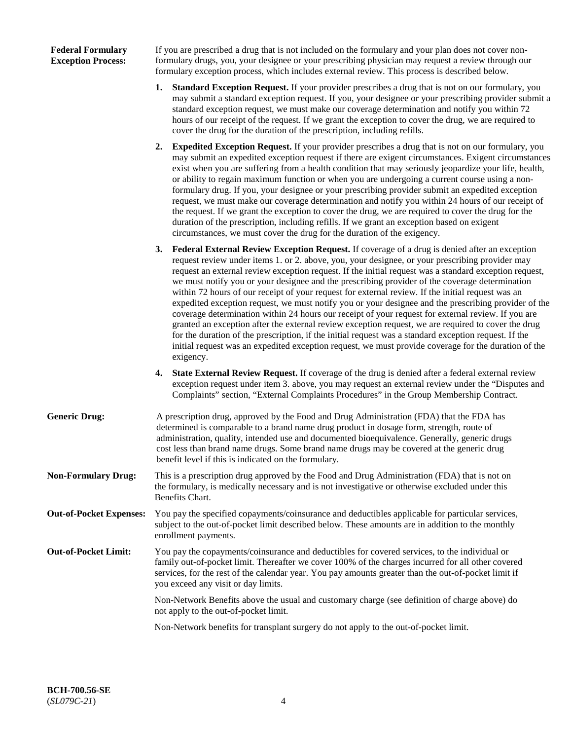### **Federal Formulary Exception Process:**

If you are prescribed a drug that is not included on the formulary and your plan does not cover nonformulary drugs, you, your designee or your prescribing physician may request a review through our formulary exception process, which includes external review. This process is described below.

- **1. Standard Exception Request.** If your provider prescribes a drug that is not on our formulary, you may submit a standard exception request. If you, your designee or your prescribing provider submit a standard exception request, we must make our coverage determination and notify you within 72 hours of our receipt of the request. If we grant the exception to cover the drug, we are required to cover the drug for the duration of the prescription, including refills.
- **2. Expedited Exception Request.** If your provider prescribes a drug that is not on our formulary, you may submit an expedited exception request if there are exigent circumstances. Exigent circumstances exist when you are suffering from a health condition that may seriously jeopardize your life, health, or ability to regain maximum function or when you are undergoing a current course using a nonformulary drug. If you, your designee or your prescribing provider submit an expedited exception request, we must make our coverage determination and notify you within 24 hours of our receipt of the request. If we grant the exception to cover the drug, we are required to cover the drug for the duration of the prescription, including refills. If we grant an exception based on exigent circumstances, we must cover the drug for the duration of the exigency.
- **3. Federal External Review Exception Request.** If coverage of a drug is denied after an exception request review under items 1. or 2. above, you, your designee, or your prescribing provider may request an external review exception request. If the initial request was a standard exception request, we must notify you or your designee and the prescribing provider of the coverage determination within 72 hours of our receipt of your request for external review. If the initial request was an expedited exception request, we must notify you or your designee and the prescribing provider of the coverage determination within 24 hours our receipt of your request for external review. If you are granted an exception after the external review exception request, we are required to cover the drug for the duration of the prescription, if the initial request was a standard exception request. If the initial request was an expedited exception request, we must provide coverage for the duration of the exigency.
- **4. State External Review Request.** If coverage of the drug is denied after a federal external review exception request under item 3. above, you may request an external review under the "Disputes and Complaints" section, "External Complaints Procedures" in the Group Membership Contract.
- **Generic Drug:** A prescription drug, approved by the Food and Drug Administration (FDA) that the FDA has determined is comparable to a brand name drug product in dosage form, strength, route of administration, quality, intended use and documented bioequivalence. Generally, generic drugs cost less than brand name drugs. Some brand name drugs may be covered at the generic drug benefit level if this is indicated on the formulary.
- **Non-Formulary Drug:** This is a prescription drug approved by the Food and Drug Administration (FDA) that is not on the formulary, is medically necessary and is not investigative or otherwise excluded under this Benefits Chart.
- **Out-of-Pocket Expenses:** You pay the specified copayments/coinsurance and deductibles applicable for particular services, subject to the out-of-pocket limit described below. These amounts are in addition to the monthly enrollment payments.
- **Out-of-Pocket Limit:** You pay the copayments/coinsurance and deductibles for covered services, to the individual or family out-of-pocket limit. Thereafter we cover 100% of the charges incurred for all other covered services, for the rest of the calendar year. You pay amounts greater than the out-of-pocket limit if you exceed any visit or day limits.

Non-Network Benefits above the usual and customary charge (see definition of charge above) do not apply to the out-of-pocket limit.

Non-Network benefits for transplant surgery do not apply to the out-of-pocket limit.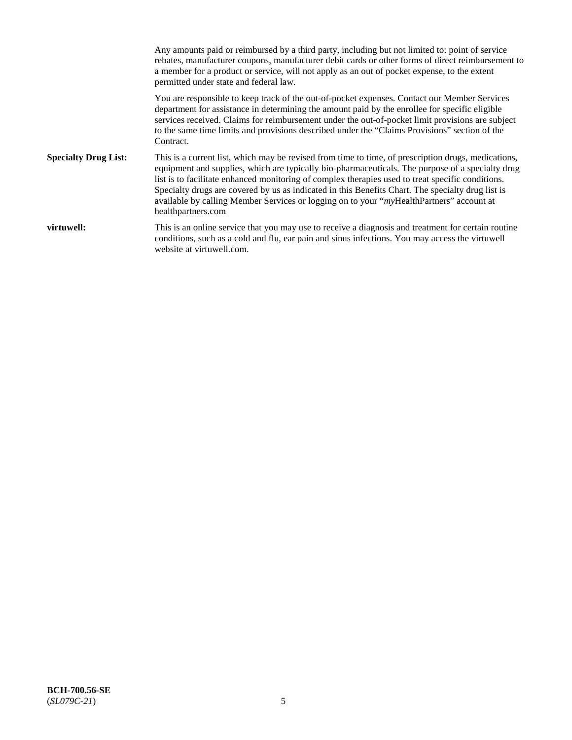Any amounts paid or reimbursed by a third party, including but not limited to: point of service rebates, manufacturer coupons, manufacturer debit cards or other forms of direct reimbursement to a member for a product or service, will not apply as an out of pocket expense, to the extent permitted under state and federal law. You are responsible to keep track of the out-of-pocket expenses. Contact our Member Services department for assistance in determining the amount paid by the enrollee for specific eligible services received. Claims for reimbursement under the out-of-pocket limit provisions are subject to the same time limits and provisions described under the "Claims Provisions" section of the Contract. **Specialty Drug List:** This is a current list, which may be revised from time to time, of prescription drugs, medications, equipment and supplies, which are typically bio-pharmaceuticals. The purpose of a specialty drug list is to facilitate enhanced monitoring of complex therapies used to treat specific conditions. Specialty drugs are covered by us as indicated in this Benefits Chart. The specialty drug list is available by calling Member Services or logging on to your "*my*HealthPartners" account at [healthpartners.com](https://www.healthpartners.com/hp/index.html) **virtuwell:** This is an online service that you may use to receive a diagnosis and treatment for certain routine conditions, such as a cold and flu, ear pain and sinus infections. You may access the virtuwell website at [virtuwell.com.](https://www.virtuwell.com/)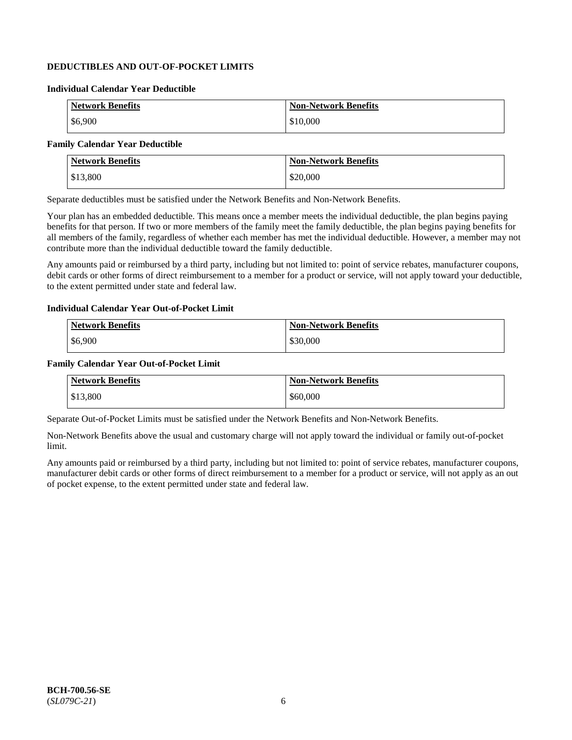### **DEDUCTIBLES AND OUT-OF-POCKET LIMITS**

#### **Individual Calendar Year Deductible**

| <b>Network Benefits</b> | <b>Non-Network Benefits</b> |
|-------------------------|-----------------------------|
| \$6,900                 | \$10,000                    |

### **Family Calendar Year Deductible**

| <b>Network Benefits</b> | <b>Non-Network Benefits</b> |
|-------------------------|-----------------------------|
| \$13,800                | \$20,000                    |

Separate deductibles must be satisfied under the Network Benefits and Non-Network Benefits.

Your plan has an embedded deductible. This means once a member meets the individual deductible, the plan begins paying benefits for that person. If two or more members of the family meet the family deductible, the plan begins paying benefits for all members of the family, regardless of whether each member has met the individual deductible. However, a member may not contribute more than the individual deductible toward the family deductible.

Any amounts paid or reimbursed by a third party, including but not limited to: point of service rebates, manufacturer coupons, debit cards or other forms of direct reimbursement to a member for a product or service, will not apply toward your deductible, to the extent permitted under state and federal law.

#### **Individual Calendar Year Out-of-Pocket Limit**

| <b>Network Benefits</b> | <b>Non-Network Benefits</b> |
|-------------------------|-----------------------------|
| \$6,900                 | \$30,000                    |

#### **Family Calendar Year Out-of-Pocket Limit**

| <b>Network Benefits</b> | Non-Network Benefits |
|-------------------------|----------------------|
| \$13,800                | \$60,000             |

Separate Out-of-Pocket Limits must be satisfied under the Network Benefits and Non-Network Benefits.

Non-Network Benefits above the usual and customary charge will not apply toward the individual or family out-of-pocket limit.

Any amounts paid or reimbursed by a third party, including but not limited to: point of service rebates, manufacturer coupons, manufacturer debit cards or other forms of direct reimbursement to a member for a product or service, will not apply as an out of pocket expense, to the extent permitted under state and federal law.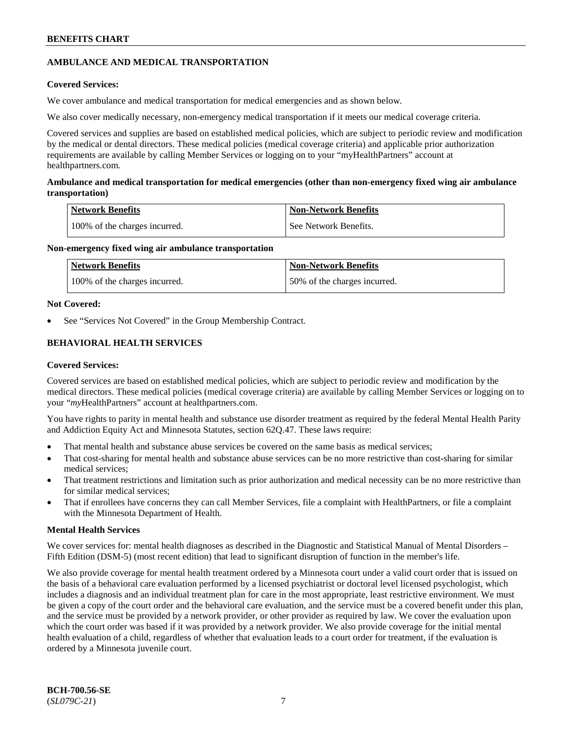### **AMBULANCE AND MEDICAL TRANSPORTATION**

### **Covered Services:**

We cover ambulance and medical transportation for medical emergencies and as shown below.

We also cover medically necessary, non-emergency medical transportation if it meets our medical coverage criteria.

Covered services and supplies are based on established medical policies, which are subject to periodic review and modification by the medical or dental directors. These medical policies (medical coverage criteria) and applicable prior authorization requirements are available by calling Member Services or logging on to your "myHealthPartners" account at [healthpartners.com.](https://www.healthpartners.com/hp/index.html)

#### **Ambulance and medical transportation for medical emergencies (other than non-emergency fixed wing air ambulance transportation)**

| Network Benefits              | <b>Non-Network Benefits</b> |
|-------------------------------|-----------------------------|
| 100% of the charges incurred. | See Network Benefits.       |

#### **Non-emergency fixed wing air ambulance transportation**

| Network Benefits              | <b>Non-Network Benefits</b>  |
|-------------------------------|------------------------------|
| 100% of the charges incurred. | 50% of the charges incurred. |

#### **Not Covered:**

See "Services Not Covered" in the Group Membership Contract.

### **BEHAVIORAL HEALTH SERVICES**

#### **Covered Services:**

Covered services are based on established medical policies, which are subject to periodic review and modification by the medical directors. These medical policies (medical coverage criteria) are available by calling Member Services or logging on to your "*my*HealthPartners" account at [healthpartners.com.](http://www.healthpartners.com/)

You have rights to parity in mental health and substance use disorder treatment as required by the federal Mental Health Parity and Addiction Equity Act and Minnesota Statutes, section 62Q.47. These laws require:

- That mental health and substance abuse services be covered on the same basis as medical services;
- That cost-sharing for mental health and substance abuse services can be no more restrictive than cost-sharing for similar medical services;
- That treatment restrictions and limitation such as prior authorization and medical necessity can be no more restrictive than for similar medical services;
- That if enrollees have concerns they can call Member Services, file a complaint with HealthPartners, or file a complaint with the Minnesota Department of Health.

#### **Mental Health Services**

We cover services for: mental health diagnoses as described in the Diagnostic and Statistical Manual of Mental Disorders – Fifth Edition (DSM-5) (most recent edition) that lead to significant disruption of function in the member's life.

We also provide coverage for mental health treatment ordered by a Minnesota court under a valid court order that is issued on the basis of a behavioral care evaluation performed by a licensed psychiatrist or doctoral level licensed psychologist, which includes a diagnosis and an individual treatment plan for care in the most appropriate, least restrictive environment. We must be given a copy of the court order and the behavioral care evaluation, and the service must be a covered benefit under this plan, and the service must be provided by a network provider, or other provider as required by law. We cover the evaluation upon which the court order was based if it was provided by a network provider. We also provide coverage for the initial mental health evaluation of a child, regardless of whether that evaluation leads to a court order for treatment, if the evaluation is ordered by a Minnesota juvenile court.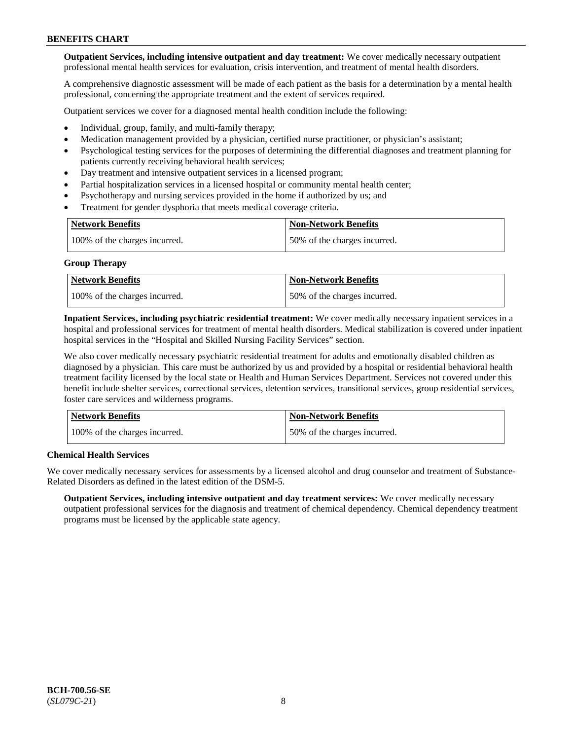**Outpatient Services, including intensive outpatient and day treatment:** We cover medically necessary outpatient professional mental health services for evaluation, crisis intervention, and treatment of mental health disorders.

A comprehensive diagnostic assessment will be made of each patient as the basis for a determination by a mental health professional, concerning the appropriate treatment and the extent of services required.

Outpatient services we cover for a diagnosed mental health condition include the following:

- Individual, group, family, and multi-family therapy;
- Medication management provided by a physician, certified nurse practitioner, or physician's assistant;
- Psychological testing services for the purposes of determining the differential diagnoses and treatment planning for patients currently receiving behavioral health services;
- Day treatment and intensive outpatient services in a licensed program;
- Partial hospitalization services in a licensed hospital or community mental health center;
- Psychotherapy and nursing services provided in the home if authorized by us; and
- Treatment for gender dysphoria that meets medical coverage criteria.

| <b>Network Benefits</b>       | <b>Non-Network Benefits</b>  |
|-------------------------------|------------------------------|
| 100% of the charges incurred. | 50% of the charges incurred. |

#### **Group Therapy**

| Network Benefits              | <b>Non-Network Benefits</b>  |
|-------------------------------|------------------------------|
| 100% of the charges incurred. | 50% of the charges incurred. |

**Inpatient Services, including psychiatric residential treatment:** We cover medically necessary inpatient services in a hospital and professional services for treatment of mental health disorders. Medical stabilization is covered under inpatient hospital services in the "Hospital and Skilled Nursing Facility Services" section.

We also cover medically necessary psychiatric residential treatment for adults and emotionally disabled children as diagnosed by a physician. This care must be authorized by us and provided by a hospital or residential behavioral health treatment facility licensed by the local state or Health and Human Services Department. Services not covered under this benefit include shelter services, correctional services, detention services, transitional services, group residential services, foster care services and wilderness programs.

| Network Benefits              | <b>Non-Network Benefits</b>  |
|-------------------------------|------------------------------|
| 100% of the charges incurred. | 50% of the charges incurred. |

#### **Chemical Health Services**

We cover medically necessary services for assessments by a licensed alcohol and drug counselor and treatment of Substance-Related Disorders as defined in the latest edition of the DSM-5.

**Outpatient Services, including intensive outpatient and day treatment services:** We cover medically necessary outpatient professional services for the diagnosis and treatment of chemical dependency. Chemical dependency treatment programs must be licensed by the applicable state agency.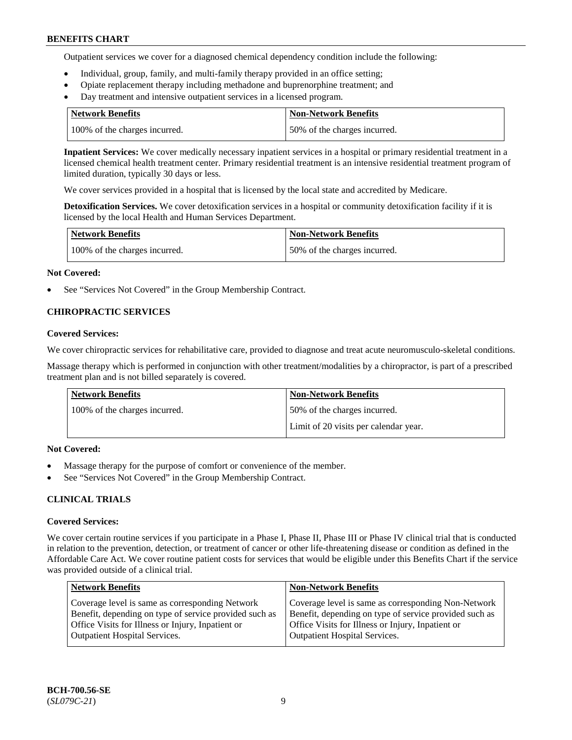Outpatient services we cover for a diagnosed chemical dependency condition include the following:

- Individual, group, family, and multi-family therapy provided in an office setting;
- Opiate replacement therapy including methadone and buprenorphine treatment; and
- Day treatment and intensive outpatient services in a licensed program.

| Network Benefits              | <b>Non-Network Benefits</b>  |
|-------------------------------|------------------------------|
| 100% of the charges incurred. | 50% of the charges incurred. |

**Inpatient Services:** We cover medically necessary inpatient services in a hospital or primary residential treatment in a licensed chemical health treatment center. Primary residential treatment is an intensive residential treatment program of limited duration, typically 30 days or less.

We cover services provided in a hospital that is licensed by the local state and accredited by Medicare.

**Detoxification Services.** We cover detoxification services in a hospital or community detoxification facility if it is licensed by the local Health and Human Services Department.

| <b>Network Benefits</b>       | <b>Non-Network Benefits</b>  |
|-------------------------------|------------------------------|
| 100% of the charges incurred. | 50% of the charges incurred. |

#### **Not Covered:**

See "Services Not Covered" in the Group Membership Contract.

### **CHIROPRACTIC SERVICES**

#### **Covered Services:**

We cover chiropractic services for rehabilitative care, provided to diagnose and treat acute neuromusculo-skeletal conditions.

Massage therapy which is performed in conjunction with other treatment/modalities by a chiropractor, is part of a prescribed treatment plan and is not billed separately is covered.

| Network Benefits              | <b>Non-Network Benefits</b>           |
|-------------------------------|---------------------------------------|
| 100% of the charges incurred. | 50% of the charges incurred.          |
|                               | Limit of 20 visits per calendar year. |

#### **Not Covered:**

- Massage therapy for the purpose of comfort or convenience of the member.
- See "Services Not Covered" in the Group Membership Contract.

#### **CLINICAL TRIALS**

#### **Covered Services:**

We cover certain routine services if you participate in a Phase I, Phase II, Phase III or Phase IV clinical trial that is conducted in relation to the prevention, detection, or treatment of cancer or other life-threatening disease or condition as defined in the Affordable Care Act. We cover routine patient costs for services that would be eligible under this Benefits Chart if the service was provided outside of a clinical trial.

| <b>Network Benefits</b>                                                                                                                                                                                | <b>Non-Network Benefits</b>                                                                                                                                                                                |
|--------------------------------------------------------------------------------------------------------------------------------------------------------------------------------------------------------|------------------------------------------------------------------------------------------------------------------------------------------------------------------------------------------------------------|
| Coverage level is same as corresponding Network<br>Benefit, depending on type of service provided such as<br>Office Visits for Illness or Injury, Inpatient or<br><b>Outpatient Hospital Services.</b> | Coverage level is same as corresponding Non-Network<br>Benefit, depending on type of service provided such as<br>Office Visits for Illness or Injury, Inpatient or<br><b>Outpatient Hospital Services.</b> |
|                                                                                                                                                                                                        |                                                                                                                                                                                                            |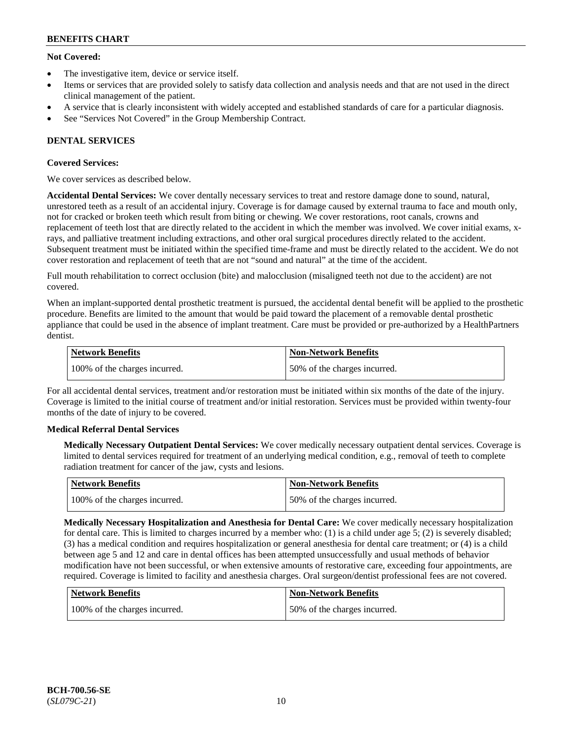### **Not Covered:**

- The investigative item, device or service itself.
- Items or services that are provided solely to satisfy data collection and analysis needs and that are not used in the direct clinical management of the patient.
- A service that is clearly inconsistent with widely accepted and established standards of care for a particular diagnosis.
- See "Services Not Covered" in the Group Membership Contract.

### **DENTAL SERVICES**

### **Covered Services:**

We cover services as described below.

**Accidental Dental Services:** We cover dentally necessary services to treat and restore damage done to sound, natural, unrestored teeth as a result of an accidental injury. Coverage is for damage caused by external trauma to face and mouth only, not for cracked or broken teeth which result from biting or chewing. We cover restorations, root canals, crowns and replacement of teeth lost that are directly related to the accident in which the member was involved. We cover initial exams, xrays, and palliative treatment including extractions, and other oral surgical procedures directly related to the accident. Subsequent treatment must be initiated within the specified time-frame and must be directly related to the accident. We do not cover restoration and replacement of teeth that are not "sound and natural" at the time of the accident.

Full mouth rehabilitation to correct occlusion (bite) and malocclusion (misaligned teeth not due to the accident) are not covered.

When an implant-supported dental prosthetic treatment is pursued, the accidental dental benefit will be applied to the prosthetic procedure. Benefits are limited to the amount that would be paid toward the placement of a removable dental prosthetic appliance that could be used in the absence of implant treatment. Care must be provided or pre-authorized by a HealthPartners dentist.

| Network Benefits              | <b>Non-Network Benefits</b>  |
|-------------------------------|------------------------------|
| 100% of the charges incurred. | 50% of the charges incurred. |

For all accidental dental services, treatment and/or restoration must be initiated within six months of the date of the injury. Coverage is limited to the initial course of treatment and/or initial restoration. Services must be provided within twenty-four months of the date of injury to be covered.

#### **Medical Referral Dental Services**

**Medically Necessary Outpatient Dental Services:** We cover medically necessary outpatient dental services. Coverage is limited to dental services required for treatment of an underlying medical condition, e.g., removal of teeth to complete radiation treatment for cancer of the jaw, cysts and lesions.

| Network Benefits              | Non-Network Benefits         |
|-------------------------------|------------------------------|
| 100% of the charges incurred. | 50% of the charges incurred. |

**Medically Necessary Hospitalization and Anesthesia for Dental Care:** We cover medically necessary hospitalization for dental care. This is limited to charges incurred by a member who: (1) is a child under age  $5$ ; (2) is severely disabled; (3) has a medical condition and requires hospitalization or general anesthesia for dental care treatment; or (4) is a child between age 5 and 12 and care in dental offices has been attempted unsuccessfully and usual methods of behavior modification have not been successful, or when extensive amounts of restorative care, exceeding four appointments, are required. Coverage is limited to facility and anesthesia charges. Oral surgeon/dentist professional fees are not covered.

| <b>Network Benefits</b>       | <b>Non-Network Benefits</b>  |
|-------------------------------|------------------------------|
| 100% of the charges incurred. | 50% of the charges incurred. |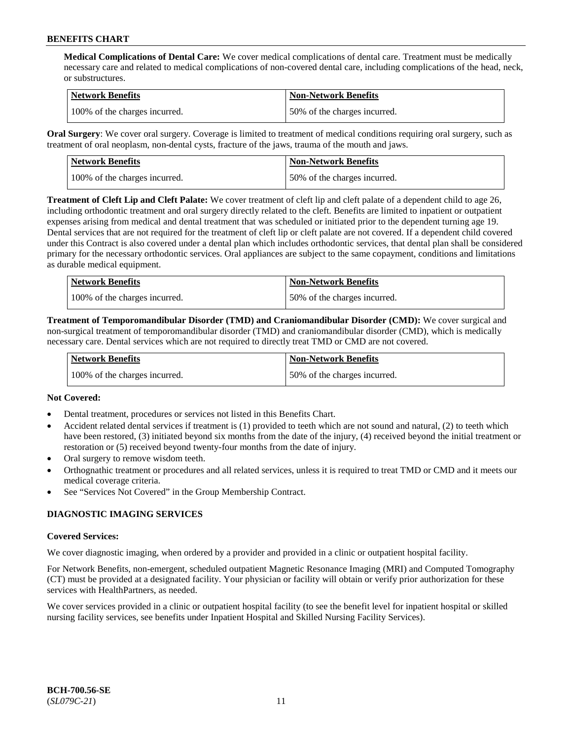**Medical Complications of Dental Care:** We cover medical complications of dental care. Treatment must be medically necessary care and related to medical complications of non-covered dental care, including complications of the head, neck, or substructures.

| Network Benefits              | <b>Non-Network Benefits</b>  |
|-------------------------------|------------------------------|
| 100% of the charges incurred. | 50% of the charges incurred. |

**Oral Surgery**: We cover oral surgery. Coverage is limited to treatment of medical conditions requiring oral surgery, such as treatment of oral neoplasm, non-dental cysts, fracture of the jaws, trauma of the mouth and jaws.

| Network Benefits              | <b>Non-Network Benefits</b>  |
|-------------------------------|------------------------------|
| 100% of the charges incurred. | 50% of the charges incurred. |

**Treatment of Cleft Lip and Cleft Palate:** We cover treatment of cleft lip and cleft palate of a dependent child to age 26, including orthodontic treatment and oral surgery directly related to the cleft. Benefits are limited to inpatient or outpatient expenses arising from medical and dental treatment that was scheduled or initiated prior to the dependent turning age 19. Dental services that are not required for the treatment of cleft lip or cleft palate are not covered. If a dependent child covered under this Contract is also covered under a dental plan which includes orthodontic services, that dental plan shall be considered primary for the necessary orthodontic services. Oral appliances are subject to the same copayment, conditions and limitations as durable medical equipment.

| <b>Network Benefits</b>       | <b>Non-Network Benefits</b>  |
|-------------------------------|------------------------------|
| 100% of the charges incurred. | 50% of the charges incurred. |

**Treatment of Temporomandibular Disorder (TMD) and Craniomandibular Disorder (CMD):** We cover surgical and non-surgical treatment of temporomandibular disorder (TMD) and craniomandibular disorder (CMD), which is medically necessary care. Dental services which are not required to directly treat TMD or CMD are not covered.

| <b>Network Benefits</b>       | <b>Non-Network Benefits</b>  |
|-------------------------------|------------------------------|
| 100% of the charges incurred. | 50% of the charges incurred. |

#### **Not Covered:**

- Dental treatment, procedures or services not listed in this Benefits Chart.
- Accident related dental services if treatment is (1) provided to teeth which are not sound and natural, (2) to teeth which have been restored, (3) initiated beyond six months from the date of the injury, (4) received beyond the initial treatment or restoration or (5) received beyond twenty-four months from the date of injury.
- Oral surgery to remove wisdom teeth.
- Orthognathic treatment or procedures and all related services, unless it is required to treat TMD or CMD and it meets our medical coverage criteria.
- See "Services Not Covered" in the Group Membership Contract.

#### **DIAGNOSTIC IMAGING SERVICES**

#### **Covered Services:**

We cover diagnostic imaging, when ordered by a provider and provided in a clinic or outpatient hospital facility.

For Network Benefits, non-emergent, scheduled outpatient Magnetic Resonance Imaging (MRI) and Computed Tomography (CT) must be provided at a designated facility. Your physician or facility will obtain or verify prior authorization for these services with HealthPartners, as needed.

We cover services provided in a clinic or outpatient hospital facility (to see the benefit level for inpatient hospital or skilled nursing facility services, see benefits under Inpatient Hospital and Skilled Nursing Facility Services).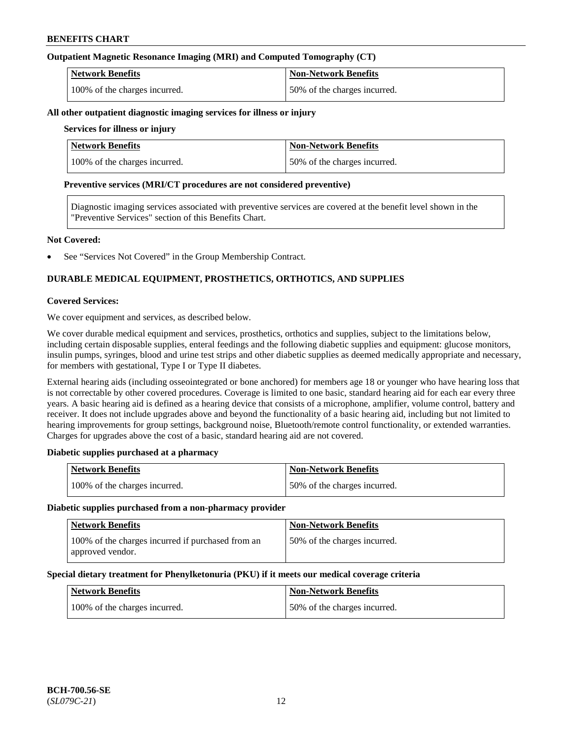#### **Outpatient Magnetic Resonance Imaging (MRI) and Computed Tomography (CT)**

| <b>Network Benefits</b>       | <b>Non-Network Benefits</b>  |
|-------------------------------|------------------------------|
| 100% of the charges incurred. | 50% of the charges incurred. |

#### **All other outpatient diagnostic imaging services for illness or injury**

#### **Services for illness or injury**

| <b>Network Benefits</b>       | <b>Non-Network Benefits</b>  |
|-------------------------------|------------------------------|
| 100% of the charges incurred. | 50% of the charges incurred. |

#### **Preventive services (MRI/CT procedures are not considered preventive)**

Diagnostic imaging services associated with preventive services are covered at the benefit level shown in the "Preventive Services" section of this Benefits Chart.

#### **Not Covered:**

See "Services Not Covered" in the Group Membership Contract.

### **DURABLE MEDICAL EQUIPMENT, PROSTHETICS, ORTHOTICS, AND SUPPLIES**

#### **Covered Services:**

We cover equipment and services, as described below.

We cover durable medical equipment and services, prosthetics, orthotics and supplies, subject to the limitations below, including certain disposable supplies, enteral feedings and the following diabetic supplies and equipment: glucose monitors, insulin pumps, syringes, blood and urine test strips and other diabetic supplies as deemed medically appropriate and necessary, for members with gestational, Type I or Type II diabetes.

External hearing aids (including osseointegrated or bone anchored) for members age 18 or younger who have hearing loss that is not correctable by other covered procedures. Coverage is limited to one basic, standard hearing aid for each ear every three years. A basic hearing aid is defined as a hearing device that consists of a microphone, amplifier, volume control, battery and receiver. It does not include upgrades above and beyond the functionality of a basic hearing aid, including but not limited to hearing improvements for group settings, background noise, Bluetooth/remote control functionality, or extended warranties. Charges for upgrades above the cost of a basic, standard hearing aid are not covered.

#### **Diabetic supplies purchased at a pharmacy**

| <b>Network Benefits</b>       | <b>Non-Network Benefits</b>  |
|-------------------------------|------------------------------|
| 100% of the charges incurred. | 50% of the charges incurred. |

#### **Diabetic supplies purchased from a non-pharmacy provider**

| <b>Network Benefits</b>                                               | <b>Non-Network Benefits</b>  |
|-----------------------------------------------------------------------|------------------------------|
| 100% of the charges incurred if purchased from an<br>approved vendor. | 50% of the charges incurred. |

#### **Special dietary treatment for Phenylketonuria (PKU) if it meets our medical coverage criteria**

| <b>Network Benefits</b>       | <b>Non-Network Benefits</b>  |
|-------------------------------|------------------------------|
| 100% of the charges incurred. | 50% of the charges incurred. |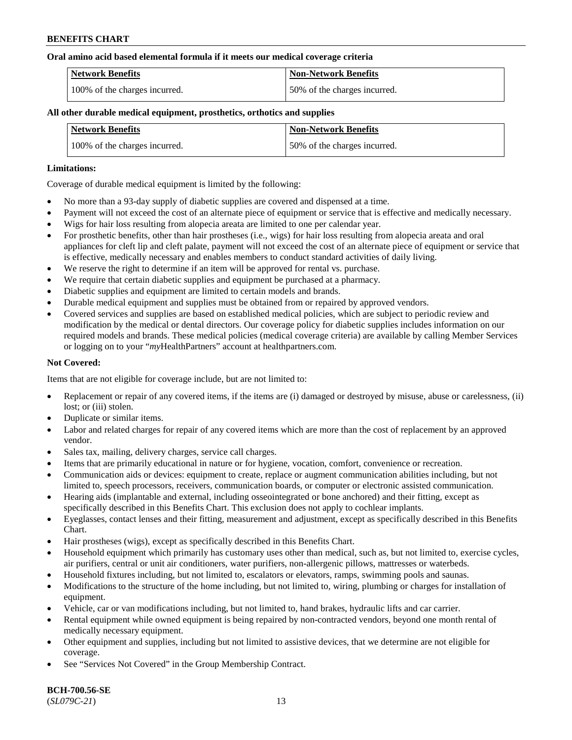#### **Oral amino acid based elemental formula if it meets our medical coverage criteria**

| Network Benefits              | <b>Non-Network Benefits</b>  |
|-------------------------------|------------------------------|
| 100% of the charges incurred. | 50% of the charges incurred. |

#### **All other durable medical equipment, prosthetics, orthotics and supplies**

| <b>Network Benefits</b>       | <b>Non-Network Benefits</b>  |
|-------------------------------|------------------------------|
| 100% of the charges incurred. | 50% of the charges incurred. |

#### **Limitations:**

Coverage of durable medical equipment is limited by the following:

- No more than a 93-day supply of diabetic supplies are covered and dispensed at a time.
- Payment will not exceed the cost of an alternate piece of equipment or service that is effective and medically necessary.
- Wigs for hair loss resulting from alopecia areata are limited to one per calendar year.
- For prosthetic benefits, other than hair prostheses (i.e., wigs) for hair loss resulting from alopecia areata and oral appliances for cleft lip and cleft palate, payment will not exceed the cost of an alternate piece of equipment or service that is effective, medically necessary and enables members to conduct standard activities of daily living.
- We reserve the right to determine if an item will be approved for rental vs. purchase.
- We require that certain diabetic supplies and equipment be purchased at a pharmacy.
- Diabetic supplies and equipment are limited to certain models and brands.
- Durable medical equipment and supplies must be obtained from or repaired by approved vendors.
- Covered services and supplies are based on established medical policies, which are subject to periodic review and modification by the medical or dental directors. Our coverage policy for diabetic supplies includes information on our required models and brands. These medical policies (medical coverage criteria) are available by calling Member Services or logging on to your "*my*HealthPartners" account a[t healthpartners.com.](https://www.healthpartners.com/hp/index.html)

#### **Not Covered:**

Items that are not eligible for coverage include, but are not limited to:

- Replacement or repair of any covered items, if the items are (i) damaged or destroyed by misuse, abuse or carelessness, (ii) lost; or (iii) stolen.
- Duplicate or similar items.
- Labor and related charges for repair of any covered items which are more than the cost of replacement by an approved vendor.
- Sales tax, mailing, delivery charges, service call charges.
- Items that are primarily educational in nature or for hygiene, vocation, comfort, convenience or recreation.
- Communication aids or devices: equipment to create, replace or augment communication abilities including, but not limited to, speech processors, receivers, communication boards, or computer or electronic assisted communication.
- Hearing aids (implantable and external, including osseointegrated or bone anchored) and their fitting, except as specifically described in this Benefits Chart. This exclusion does not apply to cochlear implants.
- Eyeglasses, contact lenses and their fitting, measurement and adjustment, except as specifically described in this Benefits Chart.
- Hair prostheses (wigs), except as specifically described in this Benefits Chart.
- Household equipment which primarily has customary uses other than medical, such as, but not limited to, exercise cycles, air purifiers, central or unit air conditioners, water purifiers, non-allergenic pillows, mattresses or waterbeds.
- Household fixtures including, but not limited to, escalators or elevators, ramps, swimming pools and saunas.
- Modifications to the structure of the home including, but not limited to, wiring, plumbing or charges for installation of equipment.
- Vehicle, car or van modifications including, but not limited to, hand brakes, hydraulic lifts and car carrier.
- Rental equipment while owned equipment is being repaired by non-contracted vendors, beyond one month rental of medically necessary equipment.
- Other equipment and supplies, including but not limited to assistive devices, that we determine are not eligible for coverage.
- See "Services Not Covered" in the Group Membership Contract.

**BCH-700.56-SE** (*SL079C-21*) 13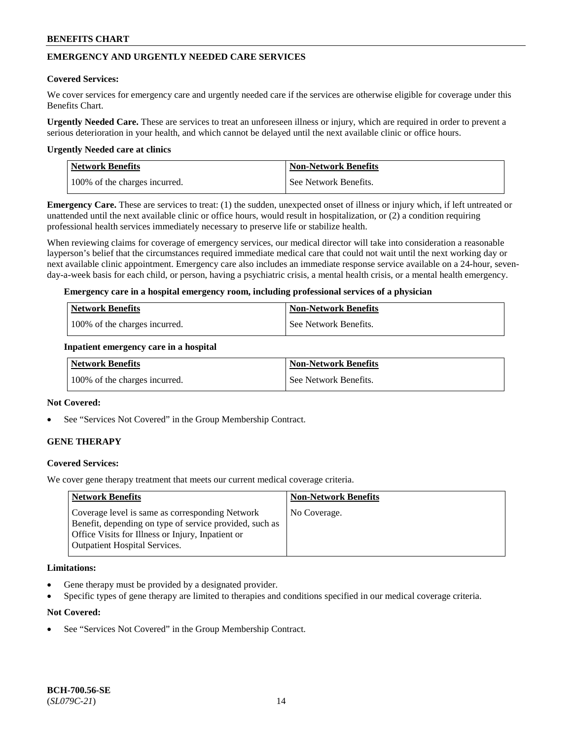### **EMERGENCY AND URGENTLY NEEDED CARE SERVICES**

#### **Covered Services:**

We cover services for emergency care and urgently needed care if the services are otherwise eligible for coverage under this Benefits Chart.

**Urgently Needed Care.** These are services to treat an unforeseen illness or injury, which are required in order to prevent a serious deterioration in your health, and which cannot be delayed until the next available clinic or office hours.

#### **Urgently Needed care at clinics**

| <b>Network Benefits</b>       | <b>Non-Network Benefits</b> |
|-------------------------------|-----------------------------|
| 100% of the charges incurred. | See Network Benefits.       |

**Emergency Care.** These are services to treat: (1) the sudden, unexpected onset of illness or injury which, if left untreated or unattended until the next available clinic or office hours, would result in hospitalization, or (2) a condition requiring professional health services immediately necessary to preserve life or stabilize health.

When reviewing claims for coverage of emergency services, our medical director will take into consideration a reasonable layperson's belief that the circumstances required immediate medical care that could not wait until the next working day or next available clinic appointment. Emergency care also includes an immediate response service available on a 24-hour, sevenday-a-week basis for each child, or person, having a psychiatric crisis, a mental health crisis, or a mental health emergency.

#### **Emergency care in a hospital emergency room, including professional services of a physician**

| <b>Network Benefits</b>       | Non-Network Benefits    |
|-------------------------------|-------------------------|
| 100% of the charges incurred. | l See Network Benefits. |

#### **Inpatient emergency care in a hospital**

| Network Benefits              | <b>Non-Network Benefits</b> |
|-------------------------------|-----------------------------|
| 100% of the charges incurred. | See Network Benefits.       |

#### **Not Covered:**

See "Services Not Covered" in the Group Membership Contract.

### **GENE THERAPY**

#### **Covered Services:**

We cover gene therapy treatment that meets our current medical coverage criteria.

| <b>Network Benefits</b>                                                                                                                                                                                 | <b>Non-Network Benefits</b> |
|---------------------------------------------------------------------------------------------------------------------------------------------------------------------------------------------------------|-----------------------------|
| Coverage level is same as corresponding Network<br>Benefit, depending on type of service provided, such as<br>Office Visits for Illness or Injury, Inpatient or<br><b>Outpatient Hospital Services.</b> | No Coverage.                |

#### **Limitations:**

- Gene therapy must be provided by a designated provider.
- Specific types of gene therapy are limited to therapies and conditions specified in our medical coverage criteria.

#### **Not Covered:**

See "Services Not Covered" in the Group Membership Contract.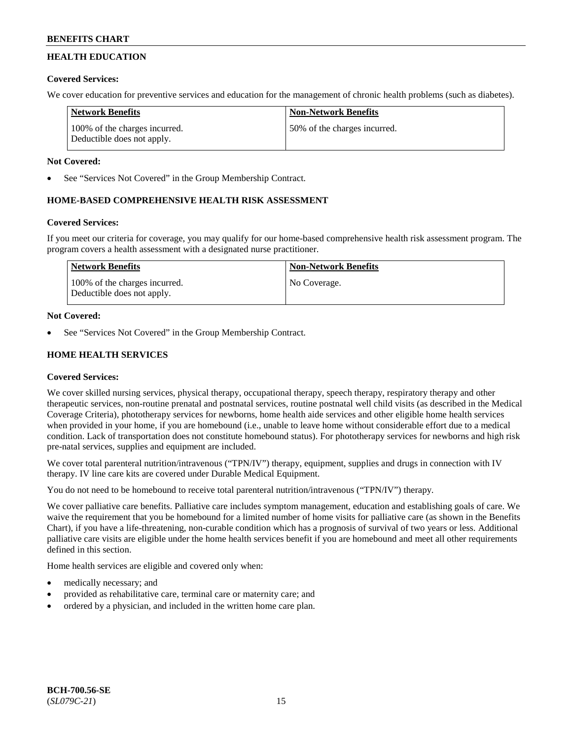# **HEALTH EDUCATION**

### **Covered Services:**

We cover education for preventive services and education for the management of chronic health problems (such as diabetes).

| <b>Network Benefits</b>                                     | <b>Non-Network Benefits</b>  |
|-------------------------------------------------------------|------------------------------|
| 100% of the charges incurred.<br>Deductible does not apply. | 50% of the charges incurred. |

### **Not Covered:**

See "Services Not Covered" in the Group Membership Contract.

### **HOME-BASED COMPREHENSIVE HEALTH RISK ASSESSMENT**

### **Covered Services:**

If you meet our criteria for coverage, you may qualify for our home-based comprehensive health risk assessment program. The program covers a health assessment with a designated nurse practitioner.

| Network Benefits                                            | <b>Non-Network Benefits</b> |
|-------------------------------------------------------------|-----------------------------|
| 100% of the charges incurred.<br>Deductible does not apply. | No Coverage.                |

### **Not Covered:**

See "Services Not Covered" in the Group Membership Contract.

### **HOME HEALTH SERVICES**

### **Covered Services:**

We cover skilled nursing services, physical therapy, occupational therapy, speech therapy, respiratory therapy and other therapeutic services, non-routine prenatal and postnatal services, routine postnatal well child visits (as described in the Medical Coverage Criteria), phototherapy services for newborns, home health aide services and other eligible home health services when provided in your home, if you are homebound (i.e., unable to leave home without considerable effort due to a medical condition. Lack of transportation does not constitute homebound status). For phototherapy services for newborns and high risk pre-natal services, supplies and equipment are included.

We cover total parenteral nutrition/intravenous ("TPN/IV") therapy, equipment, supplies and drugs in connection with IV therapy. IV line care kits are covered under Durable Medical Equipment.

You do not need to be homebound to receive total parenteral nutrition/intravenous ("TPN/IV") therapy.

We cover palliative care benefits. Palliative care includes symptom management, education and establishing goals of care. We waive the requirement that you be homebound for a limited number of home visits for palliative care (as shown in the Benefits Chart), if you have a life-threatening, non-curable condition which has a prognosis of survival of two years or less. Additional palliative care visits are eligible under the home health services benefit if you are homebound and meet all other requirements defined in this section.

Home health services are eligible and covered only when:

- medically necessary; and
- provided as rehabilitative care, terminal care or maternity care; and
- ordered by a physician, and included in the written home care plan.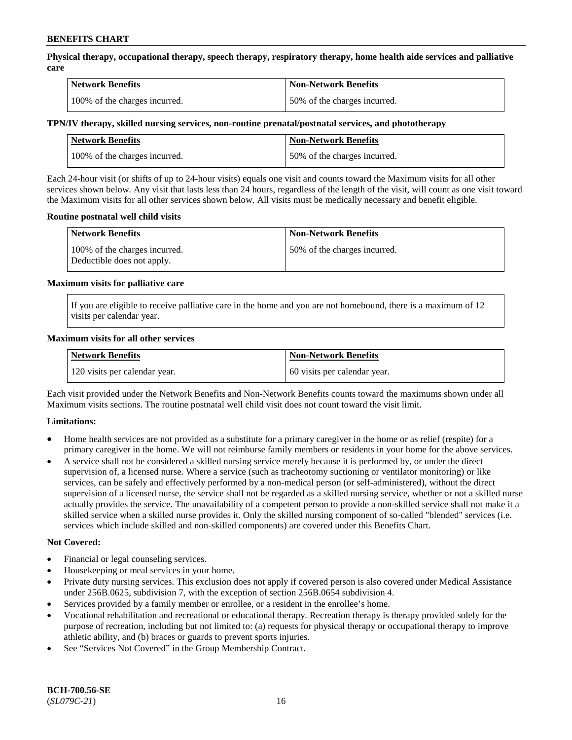**Physical therapy, occupational therapy, speech therapy, respiratory therapy, home health aide services and palliative care**

| <b>Network Benefits</b>       | <b>Non-Network Benefits</b>  |
|-------------------------------|------------------------------|
| 100% of the charges incurred. | 50% of the charges incurred. |

### **TPN/IV therapy, skilled nursing services, non-routine prenatal/postnatal services, and phototherapy**

| <b>Network Benefits</b>       | <b>Non-Network Benefits</b>  |
|-------------------------------|------------------------------|
| 100% of the charges incurred. | 50% of the charges incurred. |

Each 24-hour visit (or shifts of up to 24-hour visits) equals one visit and counts toward the Maximum visits for all other services shown below. Any visit that lasts less than 24 hours, regardless of the length of the visit, will count as one visit toward the Maximum visits for all other services shown below. All visits must be medically necessary and benefit eligible.

#### **Routine postnatal well child visits**

| <b>Network Benefits</b>                                     | <b>Non-Network Benefits</b>  |
|-------------------------------------------------------------|------------------------------|
| 100% of the charges incurred.<br>Deductible does not apply. | 50% of the charges incurred. |

#### **Maximum visits for palliative care**

If you are eligible to receive palliative care in the home and you are not homebound, there is a maximum of 12 visits per calendar year.

#### **Maximum visits for all other services**

| <b>Network Benefits</b>       | <b>Non-Network Benefits</b>  |
|-------------------------------|------------------------------|
| 120 visits per calendar year. | 60 visits per calendar year. |

Each visit provided under the Network Benefits and Non-Network Benefits counts toward the maximums shown under all Maximum visits sections. The routine postnatal well child visit does not count toward the visit limit.

#### **Limitations:**

- Home health services are not provided as a substitute for a primary caregiver in the home or as relief (respite) for a primary caregiver in the home. We will not reimburse family members or residents in your home for the above services.
- A service shall not be considered a skilled nursing service merely because it is performed by, or under the direct supervision of, a licensed nurse. Where a service (such as tracheotomy suctioning or ventilator monitoring) or like services, can be safely and effectively performed by a non-medical person (or self-administered), without the direct supervision of a licensed nurse, the service shall not be regarded as a skilled nursing service, whether or not a skilled nurse actually provides the service. The unavailability of a competent person to provide a non-skilled service shall not make it a skilled service when a skilled nurse provides it. Only the skilled nursing component of so-called "blended" services (i.e. services which include skilled and non-skilled components) are covered under this Benefits Chart.

#### **Not Covered:**

- Financial or legal counseling services.
- Housekeeping or meal services in your home.
- Private duty nursing services. This exclusion does not apply if covered person is also covered under Medical Assistance under 256B.0625, subdivision 7, with the exception of section 256B.0654 subdivision 4.
- Services provided by a family member or enrollee, or a resident in the enrollee's home.
- Vocational rehabilitation and recreational or educational therapy. Recreation therapy is therapy provided solely for the purpose of recreation, including but not limited to: (a) requests for physical therapy or occupational therapy to improve athletic ability, and (b) braces or guards to prevent sports injuries.
- See "Services Not Covered" in the Group Membership Contract.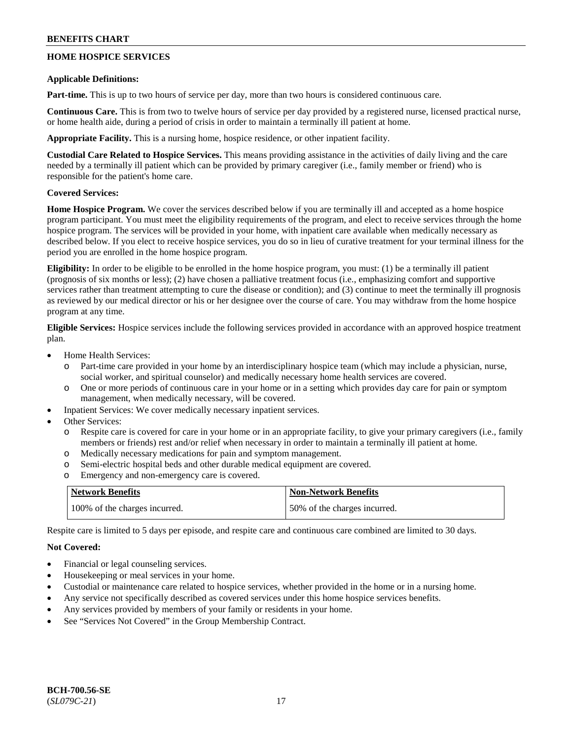### **HOME HOSPICE SERVICES**

#### **Applicable Definitions:**

**Part-time.** This is up to two hours of service per day, more than two hours is considered continuous care.

**Continuous Care.** This is from two to twelve hours of service per day provided by a registered nurse, licensed practical nurse, or home health aide, during a period of crisis in order to maintain a terminally ill patient at home.

**Appropriate Facility.** This is a nursing home, hospice residence, or other inpatient facility.

**Custodial Care Related to Hospice Services.** This means providing assistance in the activities of daily living and the care needed by a terminally ill patient which can be provided by primary caregiver (i.e., family member or friend) who is responsible for the patient's home care.

#### **Covered Services:**

**Home Hospice Program.** We cover the services described below if you are terminally ill and accepted as a home hospice program participant. You must meet the eligibility requirements of the program, and elect to receive services through the home hospice program. The services will be provided in your home, with inpatient care available when medically necessary as described below. If you elect to receive hospice services, you do so in lieu of curative treatment for your terminal illness for the period you are enrolled in the home hospice program.

**Eligibility:** In order to be eligible to be enrolled in the home hospice program, you must: (1) be a terminally ill patient (prognosis of six months or less); (2) have chosen a palliative treatment focus (i.e., emphasizing comfort and supportive services rather than treatment attempting to cure the disease or condition); and (3) continue to meet the terminally ill prognosis as reviewed by our medical director or his or her designee over the course of care. You may withdraw from the home hospice program at any time.

**Eligible Services:** Hospice services include the following services provided in accordance with an approved hospice treatment plan.

- Home Health Services:
	- o Part-time care provided in your home by an interdisciplinary hospice team (which may include a physician, nurse, social worker, and spiritual counselor) and medically necessary home health services are covered.
	- o One or more periods of continuous care in your home or in a setting which provides day care for pain or symptom management, when medically necessary, will be covered.
- Inpatient Services: We cover medically necessary inpatient services.
- Other Services:
	- o Respite care is covered for care in your home or in an appropriate facility, to give your primary caregivers (i.e., family members or friends) rest and/or relief when necessary in order to maintain a terminally ill patient at home.
	- o Medically necessary medications for pain and symptom management.
	- o Semi-electric hospital beds and other durable medical equipment are covered.
	- o Emergency and non-emergency care is covered.

| <b>Network Benefits</b>       | <b>Non-Network Benefits</b>  |
|-------------------------------|------------------------------|
| 100% of the charges incurred. | 50% of the charges incurred. |

Respite care is limited to 5 days per episode, and respite care and continuous care combined are limited to 30 days.

#### **Not Covered:**

- Financial or legal counseling services.
- Housekeeping or meal services in your home.
- Custodial or maintenance care related to hospice services, whether provided in the home or in a nursing home.
- Any service not specifically described as covered services under this home hospice services benefits.
- Any services provided by members of your family or residents in your home.
- See "Services Not Covered" in the Group Membership Contract.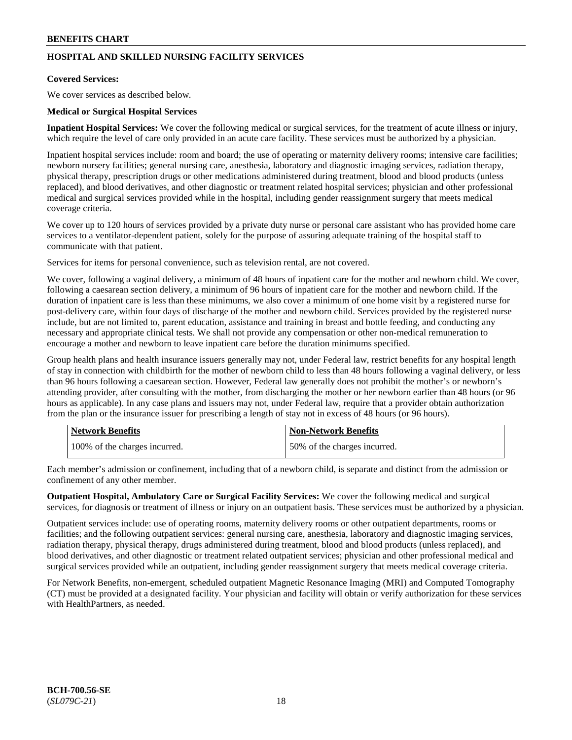## **HOSPITAL AND SKILLED NURSING FACILITY SERVICES**

#### **Covered Services:**

We cover services as described below.

#### **Medical or Surgical Hospital Services**

**Inpatient Hospital Services:** We cover the following medical or surgical services, for the treatment of acute illness or injury, which require the level of care only provided in an acute care facility. These services must be authorized by a physician.

Inpatient hospital services include: room and board; the use of operating or maternity delivery rooms; intensive care facilities; newborn nursery facilities; general nursing care, anesthesia, laboratory and diagnostic imaging services, radiation therapy, physical therapy, prescription drugs or other medications administered during treatment, blood and blood products (unless replaced), and blood derivatives, and other diagnostic or treatment related hospital services; physician and other professional medical and surgical services provided while in the hospital, including gender reassignment surgery that meets medical coverage criteria.

We cover up to 120 hours of services provided by a private duty nurse or personal care assistant who has provided home care services to a ventilator-dependent patient, solely for the purpose of assuring adequate training of the hospital staff to communicate with that patient.

Services for items for personal convenience, such as television rental, are not covered.

We cover, following a vaginal delivery, a minimum of 48 hours of inpatient care for the mother and newborn child. We cover, following a caesarean section delivery, a minimum of 96 hours of inpatient care for the mother and newborn child. If the duration of inpatient care is less than these minimums, we also cover a minimum of one home visit by a registered nurse for post-delivery care, within four days of discharge of the mother and newborn child. Services provided by the registered nurse include, but are not limited to, parent education, assistance and training in breast and bottle feeding, and conducting any necessary and appropriate clinical tests. We shall not provide any compensation or other non-medical remuneration to encourage a mother and newborn to leave inpatient care before the duration minimums specified.

Group health plans and health insurance issuers generally may not, under Federal law, restrict benefits for any hospital length of stay in connection with childbirth for the mother of newborn child to less than 48 hours following a vaginal delivery, or less than 96 hours following a caesarean section. However, Federal law generally does not prohibit the mother's or newborn's attending provider, after consulting with the mother, from discharging the mother or her newborn earlier than 48 hours (or 96 hours as applicable). In any case plans and issuers may not, under Federal law, require that a provider obtain authorization from the plan or the insurance issuer for prescribing a length of stay not in excess of 48 hours (or 96 hours).

| <b>Network Benefits</b>       | Non-Network Benefits         |
|-------------------------------|------------------------------|
| 100% of the charges incurred. | 50% of the charges incurred. |

Each member's admission or confinement, including that of a newborn child, is separate and distinct from the admission or confinement of any other member.

**Outpatient Hospital, Ambulatory Care or Surgical Facility Services:** We cover the following medical and surgical services, for diagnosis or treatment of illness or injury on an outpatient basis. These services must be authorized by a physician.

Outpatient services include: use of operating rooms, maternity delivery rooms or other outpatient departments, rooms or facilities; and the following outpatient services: general nursing care, anesthesia, laboratory and diagnostic imaging services, radiation therapy, physical therapy, drugs administered during treatment, blood and blood products (unless replaced), and blood derivatives, and other diagnostic or treatment related outpatient services; physician and other professional medical and surgical services provided while an outpatient, including gender reassignment surgery that meets medical coverage criteria.

For Network Benefits, non-emergent, scheduled outpatient Magnetic Resonance Imaging (MRI) and Computed Tomography (CT) must be provided at a designated facility. Your physician and facility will obtain or verify authorization for these services with HealthPartners, as needed.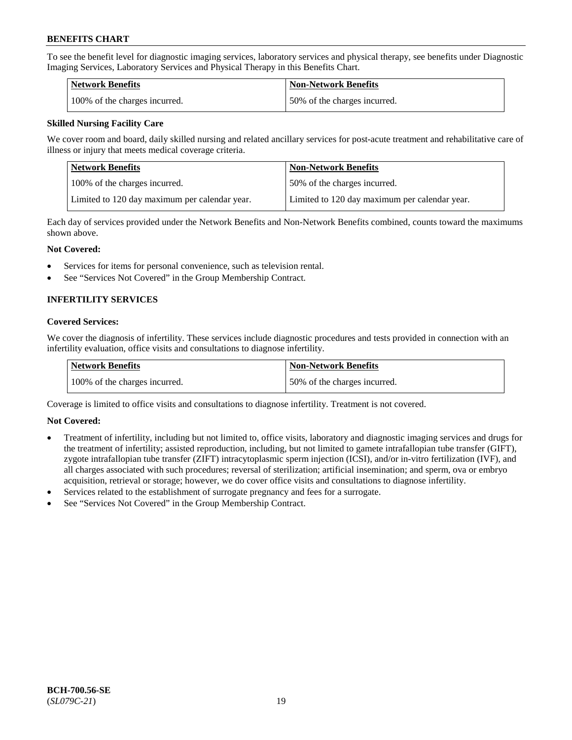To see the benefit level for diagnostic imaging services, laboratory services and physical therapy, see benefits under Diagnostic Imaging Services, Laboratory Services and Physical Therapy in this Benefits Chart.

| <b>Network Benefits</b>       | Non-Network Benefits         |
|-------------------------------|------------------------------|
| 100% of the charges incurred. | 50% of the charges incurred. |

#### **Skilled Nursing Facility Care**

We cover room and board, daily skilled nursing and related ancillary services for post-acute treatment and rehabilitative care of illness or injury that meets medical coverage criteria.

| Network Benefits                              | <b>Non-Network Benefits</b>                   |
|-----------------------------------------------|-----------------------------------------------|
| 100% of the charges incurred.                 | 50% of the charges incurred.                  |
| Limited to 120 day maximum per calendar year. | Limited to 120 day maximum per calendar year. |

Each day of services provided under the Network Benefits and Non-Network Benefits combined, counts toward the maximums shown above.

#### **Not Covered:**

- Services for items for personal convenience, such as television rental.
- See "Services Not Covered" in the Group Membership Contract.

### **INFERTILITY SERVICES**

#### **Covered Services:**

We cover the diagnosis of infertility. These services include diagnostic procedures and tests provided in connection with an infertility evaluation, office visits and consultations to diagnose infertility.

| <b>Network Benefits</b>       | <b>Non-Network Benefits</b>  |
|-------------------------------|------------------------------|
| 100% of the charges incurred. | 50% of the charges incurred. |

Coverage is limited to office visits and consultations to diagnose infertility. Treatment is not covered.

#### **Not Covered:**

- Treatment of infertility, including but not limited to, office visits, laboratory and diagnostic imaging services and drugs for the treatment of infertility; assisted reproduction, including, but not limited to gamete intrafallopian tube transfer (GIFT), zygote intrafallopian tube transfer (ZIFT) intracytoplasmic sperm injection (ICSI), and/or in-vitro fertilization (IVF), and all charges associated with such procedures; reversal of sterilization; artificial insemination; and sperm, ova or embryo acquisition, retrieval or storage; however, we do cover office visits and consultations to diagnose infertility.
- Services related to the establishment of surrogate pregnancy and fees for a surrogate.
- See "Services Not Covered" in the Group Membership Contract.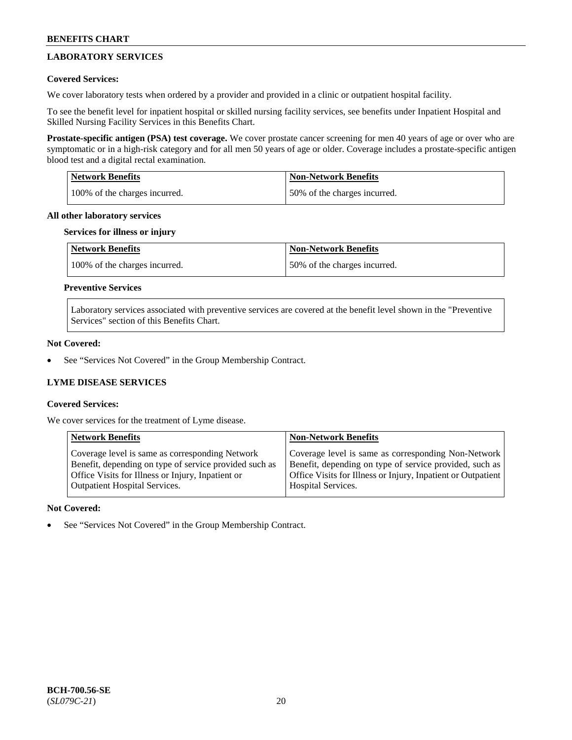### **LABORATORY SERVICES**

### **Covered Services:**

We cover laboratory tests when ordered by a provider and provided in a clinic or outpatient hospital facility.

To see the benefit level for inpatient hospital or skilled nursing facility services, see benefits under Inpatient Hospital and Skilled Nursing Facility Services in this Benefits Chart.

**Prostate-specific antigen (PSA) test coverage.** We cover prostate cancer screening for men 40 years of age or over who are symptomatic or in a high-risk category and for all men 50 years of age or older. Coverage includes a prostate-specific antigen blood test and a digital rectal examination.

| <b>Network Benefits</b>       | <b>Non-Network Benefits</b>  |
|-------------------------------|------------------------------|
| 100% of the charges incurred. | 50% of the charges incurred. |

#### **All other laboratory services**

#### **Services for illness or injury**

| <b>Network Benefits</b>       | <b>Non-Network Benefits</b>  |
|-------------------------------|------------------------------|
| 100% of the charges incurred. | 50% of the charges incurred. |

#### **Preventive Services**

Laboratory services associated with preventive services are covered at the benefit level shown in the "Preventive Services" section of this Benefits Chart.

#### **Not Covered:**

See "Services Not Covered" in the Group Membership Contract.

### **LYME DISEASE SERVICES**

#### **Covered Services:**

We cover services for the treatment of Lyme disease.

| <b>Network Benefits</b>                                | <b>Non-Network Benefits</b>                                  |
|--------------------------------------------------------|--------------------------------------------------------------|
| Coverage level is same as corresponding Network        | Coverage level is same as corresponding Non-Network          |
| Benefit, depending on type of service provided such as | Benefit, depending on type of service provided, such as      |
| Office Visits for Illness or Injury, Inpatient or      | Office Visits for Illness or Injury, Inpatient or Outpatient |
| <b>Outpatient Hospital Services.</b>                   | Hospital Services.                                           |

#### **Not Covered:**

See "Services Not Covered" in the Group Membership Contract.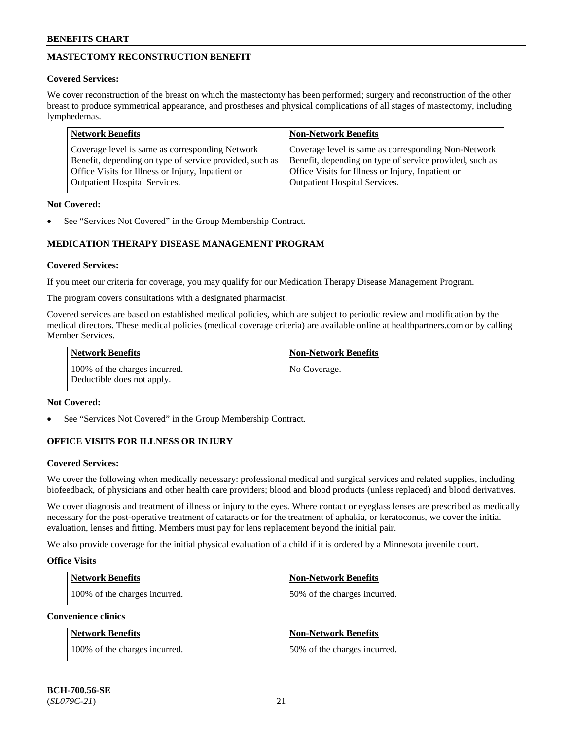## **MASTECTOMY RECONSTRUCTION BENEFIT**

#### **Covered Services:**

We cover reconstruction of the breast on which the mastectomy has been performed; surgery and reconstruction of the other breast to produce symmetrical appearance, and prostheses and physical complications of all stages of mastectomy, including lymphedemas.

| <b>Network Benefits</b>                                 | <b>Non-Network Benefits</b>                             |
|---------------------------------------------------------|---------------------------------------------------------|
| Coverage level is same as corresponding Network         | Coverage level is same as corresponding Non-Network     |
| Benefit, depending on type of service provided, such as | Benefit, depending on type of service provided, such as |
| Office Visits for Illness or Injury, Inpatient or       | Office Visits for Illness or Injury, Inpatient or       |
| <b>Outpatient Hospital Services.</b>                    | <b>Outpatient Hospital Services.</b>                    |

#### **Not Covered:**

See "Services Not Covered" in the Group Membership Contract.

### **MEDICATION THERAPY DISEASE MANAGEMENT PROGRAM**

#### **Covered Services:**

If you meet our criteria for coverage, you may qualify for our Medication Therapy Disease Management Program.

The program covers consultations with a designated pharmacist.

Covered services are based on established medical policies, which are subject to periodic review and modification by the medical directors. These medical policies (medical coverage criteria) are available online at [healthpartners.com](https://www.healthpartners.com/hp/index.html) or by calling Member Services.

| Network Benefits                                            | <b>Non-Network Benefits</b> |
|-------------------------------------------------------------|-----------------------------|
| 100% of the charges incurred.<br>Deductible does not apply. | No Coverage.                |

### **Not Covered:**

See "Services Not Covered" in the Group Membership Contract.

### **OFFICE VISITS FOR ILLNESS OR INJURY**

#### **Covered Services:**

We cover the following when medically necessary: professional medical and surgical services and related supplies, including biofeedback, of physicians and other health care providers; blood and blood products (unless replaced) and blood derivatives.

We cover diagnosis and treatment of illness or injury to the eyes. Where contact or eyeglass lenses are prescribed as medically necessary for the post-operative treatment of cataracts or for the treatment of aphakia, or keratoconus, we cover the initial evaluation, lenses and fitting. Members must pay for lens replacement beyond the initial pair.

We also provide coverage for the initial physical evaluation of a child if it is ordered by a Minnesota juvenile court.

#### **Office Visits**

| <b>Network Benefits</b>       | <b>Non-Network Benefits</b>  |
|-------------------------------|------------------------------|
| 100% of the charges incurred. | 50% of the charges incurred. |

**Convenience clinics**

| Network Benefits              | <b>Non-Network Benefits</b>  |
|-------------------------------|------------------------------|
| 100% of the charges incurred. | 50% of the charges incurred. |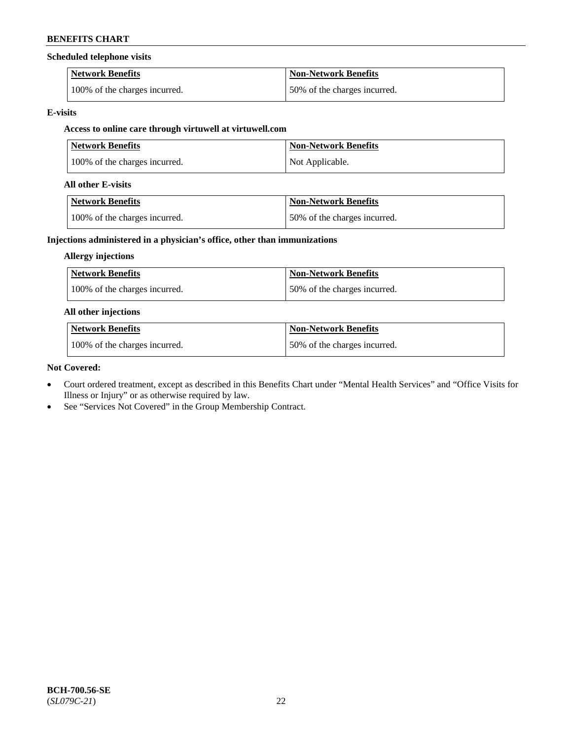#### **Scheduled telephone visits**

| <b>Network Benefits</b>       | <b>Non-Network Benefits</b>  |
|-------------------------------|------------------------------|
| 100% of the charges incurred. | 50% of the charges incurred. |

#### **E-visits**

# **Access to online care through virtuwell at [virtuwell.com](https://www.virtuwell.com/)**

| <b>Network Benefits</b>       | <b>Non-Network Benefits</b> |
|-------------------------------|-----------------------------|
| 100% of the charges incurred. | Not Applicable.             |

#### **All other E-visits**

| Network Benefits              | <b>Non-Network Benefits</b>  |
|-------------------------------|------------------------------|
| 100% of the charges incurred. | 50% of the charges incurred. |

### **Injections administered in a physician's office, other than immunizations**

### **Allergy injections**

| Network Benefits              | Non-Network Benefits         |
|-------------------------------|------------------------------|
| 100% of the charges incurred. | 50% of the charges incurred. |

#### **All other injections**

| Network Benefits              | Non-Network Benefits         |
|-------------------------------|------------------------------|
| 100% of the charges incurred. | 50% of the charges incurred. |

### **Not Covered:**

- Court ordered treatment, except as described in this Benefits Chart under "Mental Health Services" and "Office Visits for Illness or Injury" or as otherwise required by law.
- See "Services Not Covered" in the Group Membership Contract.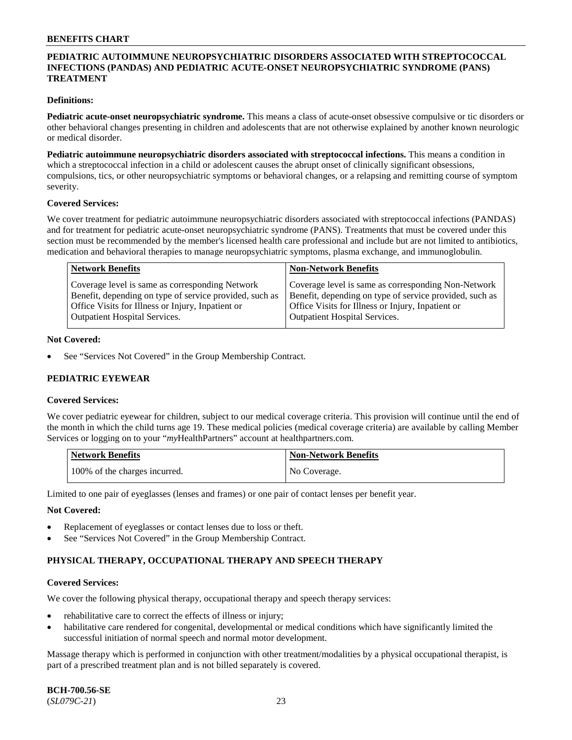#### **PEDIATRIC AUTOIMMUNE NEUROPSYCHIATRIC DISORDERS ASSOCIATED WITH STREPTOCOCCAL INFECTIONS (PANDAS) AND PEDIATRIC ACUTE-ONSET NEUROPSYCHIATRIC SYNDROME (PANS) TREATMENT**

#### **Definitions:**

**Pediatric acute-onset neuropsychiatric syndrome.** This means a class of acute-onset obsessive compulsive or tic disorders or other behavioral changes presenting in children and adolescents that are not otherwise explained by another known neurologic or medical disorder.

**Pediatric autoimmune neuropsychiatric disorders associated with streptococcal infections.** This means a condition in which a streptococcal infection in a child or adolescent causes the abrupt onset of clinically significant obsessions, compulsions, tics, or other neuropsychiatric symptoms or behavioral changes, or a relapsing and remitting course of symptom severity.

#### **Covered Services:**

We cover treatment for pediatric autoimmune neuropsychiatric disorders associated with streptococcal infections (PANDAS) and for treatment for pediatric acute-onset neuropsychiatric syndrome (PANS). Treatments that must be covered under this section must be recommended by the member's licensed health care professional and include but are not limited to antibiotics, medication and behavioral therapies to manage neuropsychiatric symptoms, plasma exchange, and immunoglobulin.

| <b>Network Benefits</b>                                                                                                                                         | <b>Non-Network Benefits</b>                                                                                                                                         |
|-----------------------------------------------------------------------------------------------------------------------------------------------------------------|---------------------------------------------------------------------------------------------------------------------------------------------------------------------|
| Coverage level is same as corresponding Network<br>Benefit, depending on type of service provided, such as<br>Office Visits for Illness or Injury, Inpatient or | Coverage level is same as corresponding Non-Network<br>Benefit, depending on type of service provided, such as<br>Office Visits for Illness or Injury, Inpatient or |
| <b>Outpatient Hospital Services.</b>                                                                                                                            | <b>Outpatient Hospital Services.</b>                                                                                                                                |

#### **Not Covered:**

See "Services Not Covered" in the Group Membership Contract.

#### **PEDIATRIC EYEWEAR**

#### **Covered Services:**

We cover pediatric eyewear for children, subject to our medical coverage criteria. This provision will continue until the end of the month in which the child turns age 19. These medical policies (medical coverage criteria) are available by calling Member Services or logging on to your "*my*HealthPartners" account at [healthpartners.com.](https://www.healthpartners.com/hp/index.html)

| Network Benefits              | <b>Non-Network Benefits</b> |
|-------------------------------|-----------------------------|
| 100% of the charges incurred. | No Coverage.                |

Limited to one pair of eyeglasses (lenses and frames) or one pair of contact lenses per benefit year.

#### **Not Covered:**

- Replacement of eyeglasses or contact lenses due to loss or theft.
- See "Services Not Covered" in the Group Membership Contract.

#### **PHYSICAL THERAPY, OCCUPATIONAL THERAPY AND SPEECH THERAPY**

#### **Covered Services:**

We cover the following physical therapy, occupational therapy and speech therapy services:

- rehabilitative care to correct the effects of illness or injury;
- habilitative care rendered for congenital, developmental or medical conditions which have significantly limited the successful initiation of normal speech and normal motor development.

Massage therapy which is performed in conjunction with other treatment/modalities by a physical occupational therapist, is part of a prescribed treatment plan and is not billed separately is covered.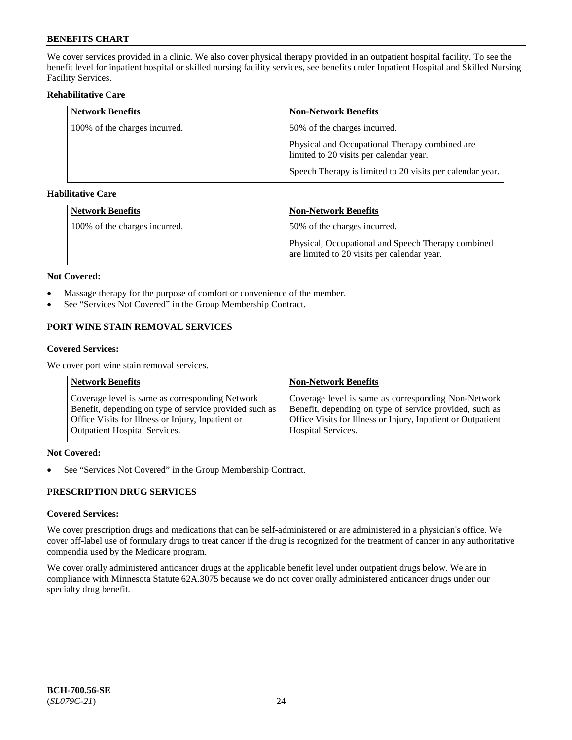We cover services provided in a clinic. We also cover physical therapy provided in an outpatient hospital facility. To see the benefit level for inpatient hospital or skilled nursing facility services, see benefits under Inpatient Hospital and Skilled Nursing Facility Services.

#### **Rehabilitative Care**

| <b>Network Benefits</b>       | <b>Non-Network Benefits</b>                                                               |
|-------------------------------|-------------------------------------------------------------------------------------------|
| 100% of the charges incurred. | 50% of the charges incurred.                                                              |
|                               | Physical and Occupational Therapy combined are<br>limited to 20 visits per calendar year. |
|                               | Speech Therapy is limited to 20 visits per calendar year.                                 |

#### **Habilitative Care**

| <b>Network Benefits</b>       | Non-Network Benefits                                                                              |
|-------------------------------|---------------------------------------------------------------------------------------------------|
| 100% of the charges incurred. | 50% of the charges incurred.                                                                      |
|                               | Physical, Occupational and Speech Therapy combined<br>are limited to 20 visits per calendar year. |

#### **Not Covered:**

- Massage therapy for the purpose of comfort or convenience of the member.
- See "Services Not Covered" in the Group Membership Contract.

### **PORT WINE STAIN REMOVAL SERVICES**

#### **Covered Services:**

We cover port wine stain removal services.

| <b>Network Benefits</b>                                | <b>Non-Network Benefits</b>                                  |
|--------------------------------------------------------|--------------------------------------------------------------|
| Coverage level is same as corresponding Network        | Coverage level is same as corresponding Non-Network          |
| Benefit, depending on type of service provided such as | Benefit, depending on type of service provided, such as      |
| Office Visits for Illness or Injury, Inpatient or      | Office Visits for Illness or Injury, Inpatient or Outpatient |
| <b>Outpatient Hospital Services.</b>                   | <b>Hospital Services.</b>                                    |

#### **Not Covered:**

• See "Services Not Covered" in the Group Membership Contract.

### **PRESCRIPTION DRUG SERVICES**

### **Covered Services:**

We cover prescription drugs and medications that can be self-administered or are administered in a physician's office. We cover off-label use of formulary drugs to treat cancer if the drug is recognized for the treatment of cancer in any authoritative compendia used by the Medicare program.

We cover orally administered anticancer drugs at the applicable benefit level under outpatient drugs below. We are in compliance with Minnesota Statute 62A.3075 because we do not cover orally administered anticancer drugs under our specialty drug benefit.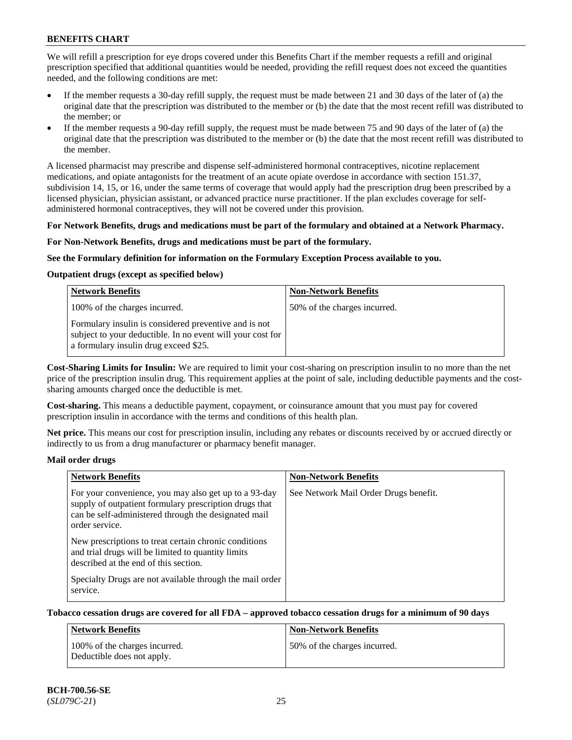We will refill a prescription for eye drops covered under this Benefits Chart if the member requests a refill and original prescription specified that additional quantities would be needed, providing the refill request does not exceed the quantities needed, and the following conditions are met:

- If the member requests a 30-day refill supply, the request must be made between 21 and 30 days of the later of (a) the original date that the prescription was distributed to the member or (b) the date that the most recent refill was distributed to the member; or
- If the member requests a 90-day refill supply, the request must be made between 75 and 90 days of the later of (a) the original date that the prescription was distributed to the member or (b) the date that the most recent refill was distributed to the member.

A licensed pharmacist may prescribe and dispense self-administered hormonal contraceptives, nicotine replacement medications, and opiate antagonists for the treatment of an acute opiate overdose in accordance with section 151.37, subdivision 14, 15, or 16, under the same terms of coverage that would apply had the prescription drug been prescribed by a licensed physician, physician assistant, or advanced practice nurse practitioner. If the plan excludes coverage for selfadministered hormonal contraceptives, they will not be covered under this provision.

#### **For Network Benefits, drugs and medications must be part of the formulary and obtained at a Network Pharmacy.**

#### **For Non-Network Benefits, drugs and medications must be part of the formulary.**

#### **See the Formulary definition for information on the Formulary Exception Process available to you.**

#### **Outpatient drugs (except as specified below)**

| <b>Network Benefits</b>                                                                                                                                      | <b>Non-Network Benefits</b>  |
|--------------------------------------------------------------------------------------------------------------------------------------------------------------|------------------------------|
| 100% of the charges incurred.                                                                                                                                | 50% of the charges incurred. |
| Formulary insulin is considered preventive and is not<br>subject to your deductible. In no event will your cost for<br>a formulary insulin drug exceed \$25. |                              |

**Cost-Sharing Limits for Insulin:** We are required to limit your cost-sharing on prescription insulin to no more than the net price of the prescription insulin drug. This requirement applies at the point of sale, including deductible payments and the costsharing amounts charged once the deductible is met.

**Cost-sharing.** This means a deductible payment, copayment, or coinsurance amount that you must pay for covered prescription insulin in accordance with the terms and conditions of this health plan.

**Net price.** This means our cost for prescription insulin, including any rebates or discounts received by or accrued directly or indirectly to us from a drug manufacturer or pharmacy benefit manager.

#### **Mail order drugs**

| <b>Network Benefits</b>                                                                                                                                                                   | <b>Non-Network Benefits</b>           |
|-------------------------------------------------------------------------------------------------------------------------------------------------------------------------------------------|---------------------------------------|
| For your convenience, you may also get up to a 93-day<br>supply of outpatient formulary prescription drugs that<br>can be self-administered through the designated mail<br>order service. | See Network Mail Order Drugs benefit. |
| New prescriptions to treat certain chronic conditions<br>and trial drugs will be limited to quantity limits<br>described at the end of this section.                                      |                                       |
| Specialty Drugs are not available through the mail order<br>service.                                                                                                                      |                                       |

#### **Tobacco cessation drugs are covered for all FDA – approved tobacco cessation drugs for a minimum of 90 days**

| Network Benefits                                            | <b>Non-Network Benefits</b>  |
|-------------------------------------------------------------|------------------------------|
| 100% of the charges incurred.<br>Deductible does not apply. | 50% of the charges incurred. |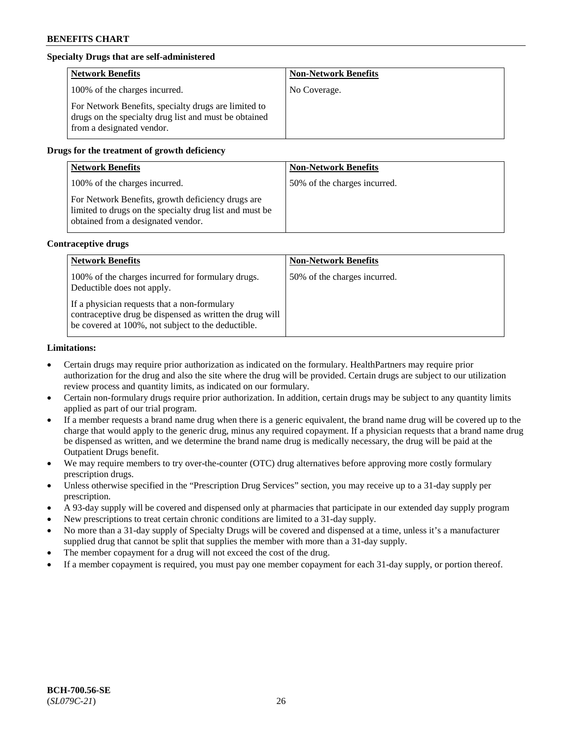### **Specialty Drugs that are self-administered**

| <b>Network Benefits</b>                                                                                                                    | <b>Non-Network Benefits</b> |
|--------------------------------------------------------------------------------------------------------------------------------------------|-----------------------------|
| 100% of the charges incurred.                                                                                                              | No Coverage.                |
| For Network Benefits, specialty drugs are limited to<br>drugs on the specialty drug list and must be obtained<br>from a designated vendor. |                             |

#### **Drugs for the treatment of growth deficiency**

| <b>Network Benefits</b>                                                                                                                            | <b>Non-Network Benefits</b>  |
|----------------------------------------------------------------------------------------------------------------------------------------------------|------------------------------|
| 100% of the charges incurred.                                                                                                                      | 50% of the charges incurred. |
| For Network Benefits, growth deficiency drugs are<br>limited to drugs on the specialty drug list and must be<br>obtained from a designated vendor. |                              |

#### **Contraceptive drugs**

| <b>Network Benefits</b>                                                                                                                                        | <b>Non-Network Benefits</b>  |
|----------------------------------------------------------------------------------------------------------------------------------------------------------------|------------------------------|
| 100% of the charges incurred for formulary drugs.<br>Deductible does not apply.                                                                                | 50% of the charges incurred. |
| If a physician requests that a non-formulary<br>contraceptive drug be dispensed as written the drug will<br>be covered at 100%, not subject to the deductible. |                              |

#### **Limitations:**

- Certain drugs may require prior authorization as indicated on the formulary. HealthPartners may require prior authorization for the drug and also the site where the drug will be provided. Certain drugs are subject to our utilization review process and quantity limits, as indicated on our formulary.
- Certain non-formulary drugs require prior authorization. In addition, certain drugs may be subject to any quantity limits applied as part of our trial program.
- If a member requests a brand name drug when there is a generic equivalent, the brand name drug will be covered up to the charge that would apply to the generic drug, minus any required copayment. If a physician requests that a brand name drug be dispensed as written, and we determine the brand name drug is medically necessary, the drug will be paid at the Outpatient Drugs benefit.
- We may require members to try over-the-counter (OTC) drug alternatives before approving more costly formulary prescription drugs.
- Unless otherwise specified in the "Prescription Drug Services" section, you may receive up to a 31-day supply per prescription.
- A 93-day supply will be covered and dispensed only at pharmacies that participate in our extended day supply program
- New prescriptions to treat certain chronic conditions are limited to a 31-day supply.
- No more than a 31-day supply of Specialty Drugs will be covered and dispensed at a time, unless it's a manufacturer supplied drug that cannot be split that supplies the member with more than a 31-day supply.
- The member copayment for a drug will not exceed the cost of the drug.
- If a member copayment is required, you must pay one member copayment for each 31-day supply, or portion thereof.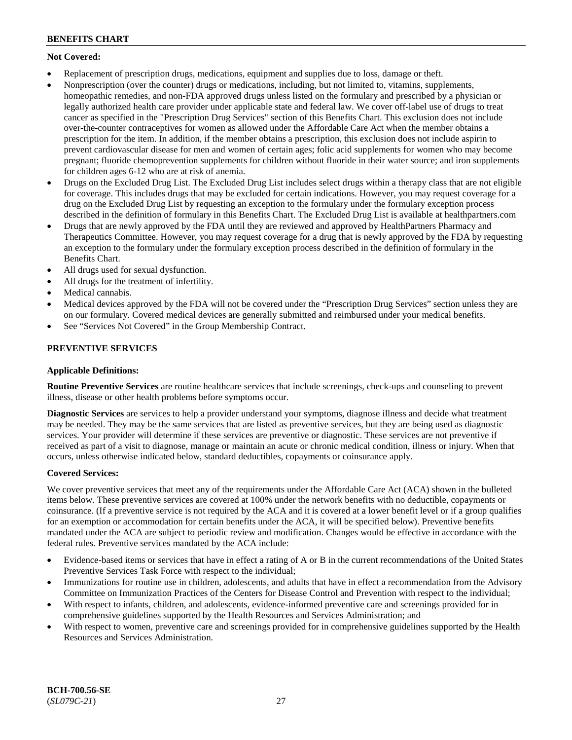### **Not Covered:**

- Replacement of prescription drugs, medications, equipment and supplies due to loss, damage or theft.
- Nonprescription (over the counter) drugs or medications, including, but not limited to, vitamins, supplements, homeopathic remedies, and non-FDA approved drugs unless listed on the formulary and prescribed by a physician or legally authorized health care provider under applicable state and federal law. We cover off-label use of drugs to treat cancer as specified in the "Prescription Drug Services" section of this Benefits Chart. This exclusion does not include over-the-counter contraceptives for women as allowed under the Affordable Care Act when the member obtains a prescription for the item. In addition, if the member obtains a prescription, this exclusion does not include aspirin to prevent cardiovascular disease for men and women of certain ages; folic acid supplements for women who may become pregnant; fluoride chemoprevention supplements for children without fluoride in their water source; and iron supplements for children ages 6-12 who are at risk of anemia.
- Drugs on the Excluded Drug List. The Excluded Drug List includes select drugs within a therapy class that are not eligible for coverage. This includes drugs that may be excluded for certain indications. However, you may request coverage for a drug on the Excluded Drug List by requesting an exception to the formulary under the formulary exception process described in the definition of formulary in this Benefits Chart. The Excluded Drug List is available at [healthpartners.com](http://www.healthpartners.com/)
- Drugs that are newly approved by the FDA until they are reviewed and approved by HealthPartners Pharmacy and Therapeutics Committee. However, you may request coverage for a drug that is newly approved by the FDA by requesting an exception to the formulary under the formulary exception process described in the definition of formulary in the Benefits Chart.
- All drugs used for sexual dysfunction.
- All drugs for the treatment of infertility.
- Medical cannabis.
- Medical devices approved by the FDA will not be covered under the "Prescription Drug Services" section unless they are on our formulary. Covered medical devices are generally submitted and reimbursed under your medical benefits.
- See "Services Not Covered" in the Group Membership Contract.

### **PREVENTIVE SERVICES**

#### **Applicable Definitions:**

**Routine Preventive Services** are routine healthcare services that include screenings, check-ups and counseling to prevent illness, disease or other health problems before symptoms occur.

**Diagnostic Services** are services to help a provider understand your symptoms, diagnose illness and decide what treatment may be needed. They may be the same services that are listed as preventive services, but they are being used as diagnostic services. Your provider will determine if these services are preventive or diagnostic. These services are not preventive if received as part of a visit to diagnose, manage or maintain an acute or chronic medical condition, illness or injury. When that occurs, unless otherwise indicated below, standard deductibles, copayments or coinsurance apply.

#### **Covered Services:**

We cover preventive services that meet any of the requirements under the Affordable Care Act (ACA) shown in the bulleted items below. These preventive services are covered at 100% under the network benefits with no deductible, copayments or coinsurance. (If a preventive service is not required by the ACA and it is covered at a lower benefit level or if a group qualifies for an exemption or accommodation for certain benefits under the ACA, it will be specified below). Preventive benefits mandated under the ACA are subject to periodic review and modification. Changes would be effective in accordance with the federal rules. Preventive services mandated by the ACA include:

- Evidence-based items or services that have in effect a rating of A or B in the current recommendations of the United States Preventive Services Task Force with respect to the individual;
- Immunizations for routine use in children, adolescents, and adults that have in effect a recommendation from the Advisory Committee on Immunization Practices of the Centers for Disease Control and Prevention with respect to the individual;
- With respect to infants, children, and adolescents, evidence-informed preventive care and screenings provided for in comprehensive guidelines supported by the Health Resources and Services Administration; and
- With respect to women, preventive care and screenings provided for in comprehensive guidelines supported by the Health Resources and Services Administration.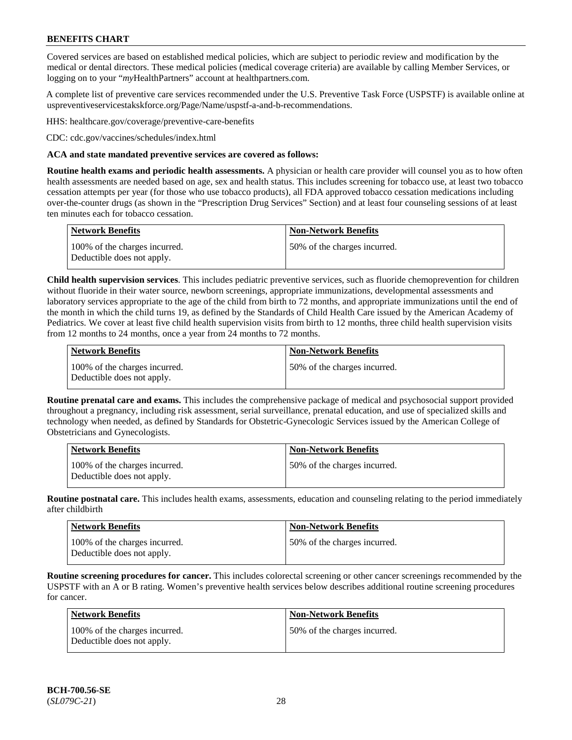Covered services are based on established medical policies, which are subject to periodic review and modification by the medical or dental directors. These medical policies (medical coverage criteria) are available by calling Member Services, or logging on to your "*my*HealthPartners" account at [healthpartners.com.](http://www.healthpartners.com/)

A complete list of preventive care services recommended under the U.S. Preventive Task Force (USPSTF) is available online at [uspreventiveservicestakskforce.org/Page/Name/uspstf-a-and-b-recommendations.](https://www.uspreventiveservicestaskforce.org/Page/Name/uspstf-a-and-b-recommendations-by-date/)

HHS: [healthcare.gov/coverage/preventive-care-benefits](https://www.healthcare.gov/coverage/preventive-care-benefits/)

CDC: [cdc.gov/vaccines/schedules/index.html](https://www.cdc.gov/vaccines/schedules/index.html)

#### **ACA and state mandated preventive services are covered as follows:**

**Routine health exams and periodic health assessments.** A physician or health care provider will counsel you as to how often health assessments are needed based on age, sex and health status. This includes screening for tobacco use, at least two tobacco cessation attempts per year (for those who use tobacco products), all FDA approved tobacco cessation medications including over-the-counter drugs (as shown in the "Prescription Drug Services" Section) and at least four counseling sessions of at least ten minutes each for tobacco cessation.

| Network Benefits                                            | <b>Non-Network Benefits</b>  |
|-------------------------------------------------------------|------------------------------|
| 100% of the charges incurred.<br>Deductible does not apply. | 50% of the charges incurred. |

**Child health supervision services**. This includes pediatric preventive services, such as fluoride chemoprevention for children without fluoride in their water source, newborn screenings, appropriate immunizations, developmental assessments and laboratory services appropriate to the age of the child from birth to 72 months, and appropriate immunizations until the end of the month in which the child turns 19, as defined by the Standards of Child Health Care issued by the American Academy of Pediatrics. We cover at least five child health supervision visits from birth to 12 months, three child health supervision visits from 12 months to 24 months, once a year from 24 months to 72 months.

| Network Benefits                                            | <b>Non-Network Benefits</b>  |
|-------------------------------------------------------------|------------------------------|
| 100% of the charges incurred.<br>Deductible does not apply. | 50% of the charges incurred. |

**Routine prenatal care and exams.** This includes the comprehensive package of medical and psychosocial support provided throughout a pregnancy, including risk assessment, serial surveillance, prenatal education, and use of specialized skills and technology when needed, as defined by Standards for Obstetric-Gynecologic Services issued by the American College of Obstetricians and Gynecologists.

| <b>Network Benefits</b>                                     | <b>Non-Network Benefits</b>   |
|-------------------------------------------------------------|-------------------------------|
| 100% of the charges incurred.<br>Deductible does not apply. | 150% of the charges incurred. |

**Routine postnatal care.** This includes health exams, assessments, education and counseling relating to the period immediately after childbirth

| <b>Network Benefits</b>                                     | <b>Non-Network Benefits</b>  |
|-------------------------------------------------------------|------------------------------|
| 100% of the charges incurred.<br>Deductible does not apply. | 50% of the charges incurred. |

**Routine screening procedures for cancer.** This includes colorectal screening or other cancer screenings recommended by the USPSTF with an A or B rating. Women's preventive health services below describes additional routine screening procedures for cancer.

| Network Benefits                                            | <b>Non-Network Benefits</b>  |
|-------------------------------------------------------------|------------------------------|
| 100% of the charges incurred.<br>Deductible does not apply. | 50% of the charges incurred. |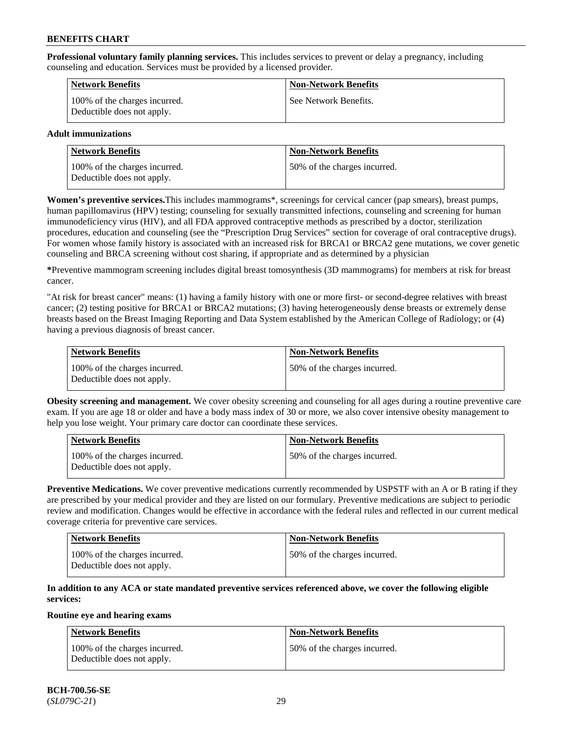**Professional voluntary family planning services.** This includes services to prevent or delay a pregnancy, including counseling and education. Services must be provided by a licensed provider.

| <b>Network Benefits</b>                                     | <b>Non-Network Benefits</b> |
|-------------------------------------------------------------|-----------------------------|
| 100% of the charges incurred.<br>Deductible does not apply. | See Network Benefits.       |

### **Adult immunizations**

| Network Benefits                                            | <b>Non-Network Benefits</b>  |
|-------------------------------------------------------------|------------------------------|
| 100% of the charges incurred.<br>Deductible does not apply. | 50% of the charges incurred. |

**Women's preventive services.**This includes mammograms\*, screenings for cervical cancer (pap smears), breast pumps, human papillomavirus (HPV) testing; counseling for sexually transmitted infections, counseling and screening for human immunodeficiency virus (HIV), and all FDA approved contraceptive methods as prescribed by a doctor, sterilization procedures, education and counseling (see the "Prescription Drug Services" section for coverage of oral contraceptive drugs). For women whose family history is associated with an increased risk for BRCA1 or BRCA2 gene mutations, we cover genetic counseling and BRCA screening without cost sharing, if appropriate and as determined by a physician

**\***Preventive mammogram screening includes digital breast tomosynthesis (3D mammograms) for members at risk for breast cancer.

"At risk for breast cancer" means: (1) having a family history with one or more first- or second-degree relatives with breast cancer; (2) testing positive for BRCA1 or BRCA2 mutations; (3) having heterogeneously dense breasts or extremely dense breasts based on the Breast Imaging Reporting and Data System established by the American College of Radiology; or (4) having a previous diagnosis of breast cancer.

| Network Benefits                                            | <b>Non-Network Benefits</b>  |
|-------------------------------------------------------------|------------------------------|
| 100% of the charges incurred.<br>Deductible does not apply. | 50% of the charges incurred. |

**Obesity screening and management.** We cover obesity screening and counseling for all ages during a routine preventive care exam. If you are age 18 or older and have a body mass index of 30 or more, we also cover intensive obesity management to help you lose weight. Your primary care doctor can coordinate these services.

| Network Benefits                                            | <b>Non-Network Benefits</b>  |
|-------------------------------------------------------------|------------------------------|
| 100% of the charges incurred.<br>Deductible does not apply. | 50% of the charges incurred. |

**Preventive Medications.** We cover preventive medications currently recommended by USPSTF with an A or B rating if they are prescribed by your medical provider and they are listed on our formulary. Preventive medications are subject to periodic review and modification. Changes would be effective in accordance with the federal rules and reflected in our current medical coverage criteria for preventive care services.

| <b>Network Benefits</b>                                     | <b>Non-Network Benefits</b>   |
|-------------------------------------------------------------|-------------------------------|
| 100% of the charges incurred.<br>Deductible does not apply. | 150% of the charges incurred. |

#### **In addition to any ACA or state mandated preventive services referenced above, we cover the following eligible services:**

#### **Routine eye and hearing exams**

| <b>Network Benefits</b>                                     | <b>Non-Network Benefits</b>  |
|-------------------------------------------------------------|------------------------------|
| 100% of the charges incurred.<br>Deductible does not apply. | 50% of the charges incurred. |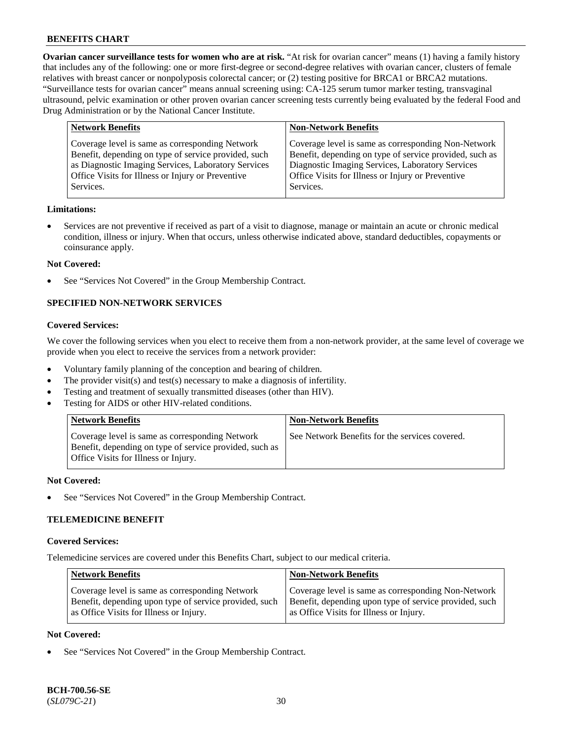**Ovarian cancer surveillance tests for women who are at risk.** "At risk for ovarian cancer" means (1) having a family history that includes any of the following: one or more first-degree or second-degree relatives with ovarian cancer, clusters of female relatives with breast cancer or nonpolyposis colorectal cancer; or (2) testing positive for BRCA1 or BRCA2 mutations. "Surveillance tests for ovarian cancer" means annual screening using: CA-125 serum tumor marker testing, transvaginal ultrasound, pelvic examination or other proven ovarian cancer screening tests currently being evaluated by the federal Food and Drug Administration or by the National Cancer Institute.

| <b>Network Benefits</b>                              | <b>Non-Network Benefits</b>                             |
|------------------------------------------------------|---------------------------------------------------------|
| Coverage level is same as corresponding Network      | Coverage level is same as corresponding Non-Network     |
| Benefit, depending on type of service provided, such | Benefit, depending on type of service provided, such as |
| as Diagnostic Imaging Services, Laboratory Services  | Diagnostic Imaging Services, Laboratory Services        |
| Office Visits for Illness or Injury or Preventive    | Office Visits for Illness or Injury or Preventive       |
| Services.                                            | Services.                                               |

#### **Limitations:**

• Services are not preventive if received as part of a visit to diagnose, manage or maintain an acute or chronic medical condition, illness or injury. When that occurs, unless otherwise indicated above, standard deductibles, copayments or coinsurance apply.

#### **Not Covered:**

See "Services Not Covered" in the Group Membership Contract.

### **SPECIFIED NON-NETWORK SERVICES**

### **Covered Services:**

We cover the following services when you elect to receive them from a non-network provider, at the same level of coverage we provide when you elect to receive the services from a network provider:

- Voluntary family planning of the conception and bearing of children.
- The provider visit(s) and test(s) necessary to make a diagnosis of infertility.
- Testing and treatment of sexually transmitted diseases (other than HIV).
- Testing for AIDS or other HIV-related conditions.

| <b>Network Benefits</b>                                                                                                                            | <b>Non-Network Benefits</b>                    |
|----------------------------------------------------------------------------------------------------------------------------------------------------|------------------------------------------------|
| Coverage level is same as corresponding Network<br>Benefit, depending on type of service provided, such as<br>Office Visits for Illness or Injury. | See Network Benefits for the services covered. |

#### **Not Covered:**

See "Services Not Covered" in the Group Membership Contract.

### **TELEMEDICINE BENEFIT**

#### **Covered Services:**

Telemedicine services are covered under this Benefits Chart, subject to our medical criteria.

| <b>Network Benefits</b>                                | <b>Non-Network Benefits</b>                            |
|--------------------------------------------------------|--------------------------------------------------------|
| Coverage level is same as corresponding Network        | Coverage level is same as corresponding Non-Network    |
| Benefit, depending upon type of service provided, such | Benefit, depending upon type of service provided, such |
| as Office Visits for Illness or Injury.                | as Office Visits for Illness or Injury.                |

#### **Not Covered:**

See "Services Not Covered" in the Group Membership Contract.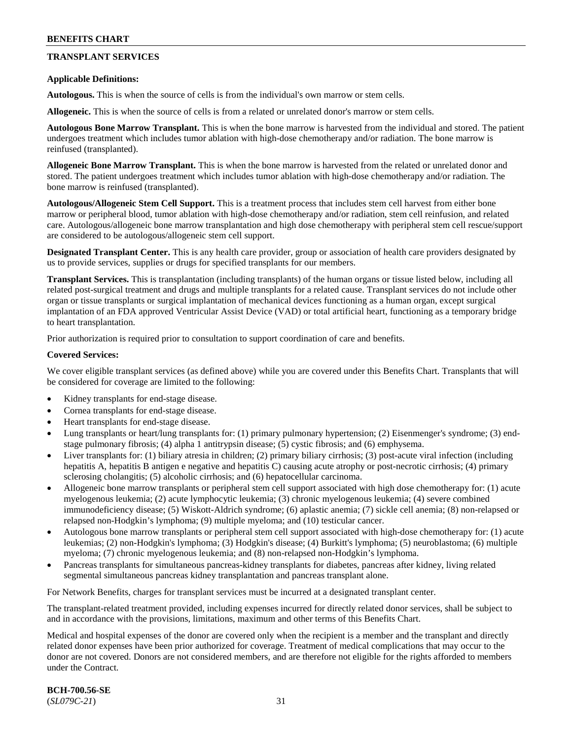### **TRANSPLANT SERVICES**

#### **Applicable Definitions:**

**Autologous.** This is when the source of cells is from the individual's own marrow or stem cells.

**Allogeneic.** This is when the source of cells is from a related or unrelated donor's marrow or stem cells.

**Autologous Bone Marrow Transplant.** This is when the bone marrow is harvested from the individual and stored. The patient undergoes treatment which includes tumor ablation with high-dose chemotherapy and/or radiation. The bone marrow is reinfused (transplanted).

**Allogeneic Bone Marrow Transplant.** This is when the bone marrow is harvested from the related or unrelated donor and stored. The patient undergoes treatment which includes tumor ablation with high-dose chemotherapy and/or radiation. The bone marrow is reinfused (transplanted).

**Autologous/Allogeneic Stem Cell Support.** This is a treatment process that includes stem cell harvest from either bone marrow or peripheral blood, tumor ablation with high-dose chemotherapy and/or radiation, stem cell reinfusion, and related care. Autologous/allogeneic bone marrow transplantation and high dose chemotherapy with peripheral stem cell rescue/support are considered to be autologous/allogeneic stem cell support.

**Designated Transplant Center.** This is any health care provider, group or association of health care providers designated by us to provide services, supplies or drugs for specified transplants for our members.

**Transplant Services.** This is transplantation (including transplants) of the human organs or tissue listed below, including all related post-surgical treatment and drugs and multiple transplants for a related cause. Transplant services do not include other organ or tissue transplants or surgical implantation of mechanical devices functioning as a human organ, except surgical implantation of an FDA approved Ventricular Assist Device (VAD) or total artificial heart, functioning as a temporary bridge to heart transplantation.

Prior authorization is required prior to consultation to support coordination of care and benefits.

#### **Covered Services:**

We cover eligible transplant services (as defined above) while you are covered under this Benefits Chart. Transplants that will be considered for coverage are limited to the following:

- Kidney transplants for end-stage disease.
- Cornea transplants for end-stage disease.
- Heart transplants for end-stage disease.
- Lung transplants or heart/lung transplants for: (1) primary pulmonary hypertension; (2) Eisenmenger's syndrome; (3) endstage pulmonary fibrosis; (4) alpha 1 antitrypsin disease; (5) cystic fibrosis; and (6) emphysema.
- Liver transplants for: (1) biliary atresia in children; (2) primary biliary cirrhosis; (3) post-acute viral infection (including hepatitis A, hepatitis B antigen e negative and hepatitis C) causing acute atrophy or post-necrotic cirrhosis; (4) primary sclerosing cholangitis; (5) alcoholic cirrhosis; and (6) hepatocellular carcinoma.
- Allogeneic bone marrow transplants or peripheral stem cell support associated with high dose chemotherapy for: (1) acute myelogenous leukemia; (2) acute lymphocytic leukemia; (3) chronic myelogenous leukemia; (4) severe combined immunodeficiency disease; (5) Wiskott-Aldrich syndrome; (6) aplastic anemia; (7) sickle cell anemia; (8) non-relapsed or relapsed non-Hodgkin's lymphoma; (9) multiple myeloma; and (10) testicular cancer.
- Autologous bone marrow transplants or peripheral stem cell support associated with high-dose chemotherapy for: (1) acute leukemias; (2) non-Hodgkin's lymphoma; (3) Hodgkin's disease; (4) Burkitt's lymphoma; (5) neuroblastoma; (6) multiple myeloma; (7) chronic myelogenous leukemia; and (8) non-relapsed non-Hodgkin's lymphoma.
- Pancreas transplants for simultaneous pancreas-kidney transplants for diabetes, pancreas after kidney, living related segmental simultaneous pancreas kidney transplantation and pancreas transplant alone.

For Network Benefits, charges for transplant services must be incurred at a designated transplant center.

The transplant-related treatment provided, including expenses incurred for directly related donor services, shall be subject to and in accordance with the provisions, limitations, maximum and other terms of this Benefits Chart.

Medical and hospital expenses of the donor are covered only when the recipient is a member and the transplant and directly related donor expenses have been prior authorized for coverage. Treatment of medical complications that may occur to the donor are not covered. Donors are not considered members, and are therefore not eligible for the rights afforded to members under the Contract.